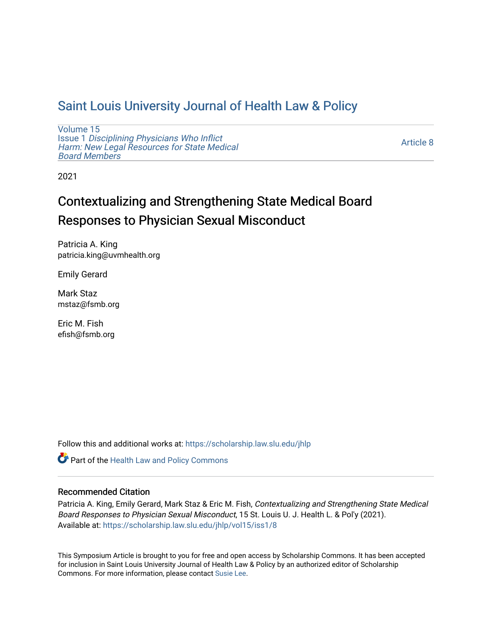## [Saint Louis University Journal of Health Law & Policy](https://scholarship.law.slu.edu/jhlp)

[Volume 15](https://scholarship.law.slu.edu/jhlp/vol15) Issue 1 [Disciplining Physicians Who Inflict](https://scholarship.law.slu.edu/jhlp/vol15/iss1)  [Harm: New Legal Resources for State Medical](https://scholarship.law.slu.edu/jhlp/vol15/iss1) [Board Members](https://scholarship.law.slu.edu/jhlp/vol15/iss1)

[Article 8](https://scholarship.law.slu.edu/jhlp/vol15/iss1/8) 

2021

# Contextualizing and Strengthening State Medical Board Responses to Physician Sexual Misconduct

Patricia A. King patricia.king@uvmhealth.org

Emily Gerard

Mark Staz mstaz@fsmb.org

Eric M. Fish efish@fsmb.org

Follow this and additional works at: [https://scholarship.law.slu.edu/jhlp](https://scholarship.law.slu.edu/jhlp?utm_source=scholarship.law.slu.edu%2Fjhlp%2Fvol15%2Fiss1%2F8&utm_medium=PDF&utm_campaign=PDFCoverPages)

Part of the [Health Law and Policy Commons](http://network.bepress.com/hgg/discipline/901?utm_source=scholarship.law.slu.edu%2Fjhlp%2Fvol15%2Fiss1%2F8&utm_medium=PDF&utm_campaign=PDFCoverPages) 

## Recommended Citation

Patricia A. King, Emily Gerard, Mark Staz & Eric M. Fish, Contextualizing and Strengthening State Medical Board Responses to Physician Sexual Misconduct, 15 St. Louis U. J. Health L. & Pol'y (2021). Available at: [https://scholarship.law.slu.edu/jhlp/vol15/iss1/8](https://scholarship.law.slu.edu/jhlp/vol15/iss1/8?utm_source=scholarship.law.slu.edu%2Fjhlp%2Fvol15%2Fiss1%2F8&utm_medium=PDF&utm_campaign=PDFCoverPages) 

This Symposium Article is brought to you for free and open access by Scholarship Commons. It has been accepted for inclusion in Saint Louis University Journal of Health Law & Policy by an authorized editor of Scholarship Commons. For more information, please contact [Susie Lee](mailto:susie.lee@slu.edu).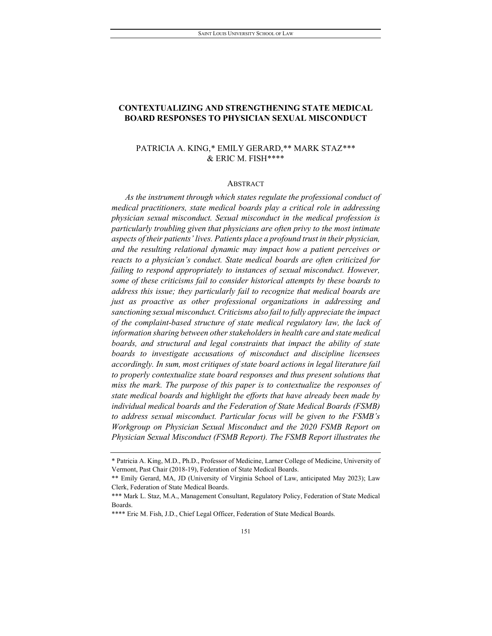## **CONTEXTUALIZING AND STRENGTHENING STATE MEDICAL BOARD RESPONSES TO PHYSICIAN SEXUAL MISCONDUCT**

## PATRICIA A. KING,\* EMILY GERARD,\*\* MARK STAZ[\\*\\*\\*](#page-1-0) & ERIC M. FISH[\\*\\*\\*\\*](#page-1-1)

#### **ABSTRACT**

*As the instrument through which states regulate the professional conduct of medical practitioners, state medical boards play a critical role in addressing physician sexual misconduct. Sexual misconduct in the medical profession is particularly troubling given that physicians are often privy to the most intimate aspects of their patients' lives. Patients place a profound trust in their physician, and the resulting relational dynamic may impact how a patient perceives or reacts to a physician's conduct. State medical boards are often criticized for failing to respond appropriately to instances of sexual misconduct. However, some of these criticisms fail to consider historical attempts by these boards to address this issue; they particularly fail to recognize that medical boards are just as proactive as other professional organizations in addressing and sanctioning sexual misconduct. Criticisms also fail to fully appreciate the impact of the complaint-based structure of state medical regulatory law, the lack of information sharing between other stakeholders in health care and state medical*  boards, and structural and legal constraints that impact the ability of state *boards to investigate accusations of misconduct and discipline licensees accordingly. In sum, most critiques of state board actions in legal literature fail to properly contextualize state board responses and thus present solutions that miss the mark. The purpose of this paper is to contextualize the responses of state medical boards and highlight the efforts that have already been made by individual medical boards and the Federation of State Medical Boards (FSMB) to address sexual misconduct. Particular focus will be given to the FSMB's Workgroup on Physician Sexual Misconduct and the 2020 FSMB Report on Physician Sexual Misconduct (FSMB Report). The FSMB Report illustrates the* 

<sup>\*</sup> Patricia A. King, M.D., Ph.D., Professor of Medicine, Larner College of Medicine, University of Vermont, Past Chair (2018-19), Federation of State Medical Boards.

<sup>\*\*</sup> Emily Gerard, MA, JD (University of Virginia School of Law, anticipated May 2023); Law Clerk, Federation of State Medical Boards.

<span id="page-1-0"></span><sup>\*\*\*</sup> Mark L. Staz, M.A., Management Consultant, Regulatory Policy, Federation of State Medical **Boards** 

<span id="page-1-1"></span><sup>\*\*\*\*</sup> Eric M. Fish, J.D., Chief Legal Officer, Federation of State Medical Boards.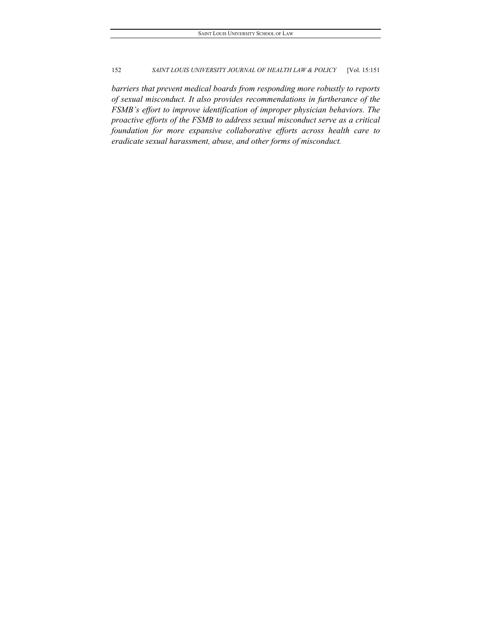*barriers that prevent medical boards from responding more robustly to reports of sexual misconduct. It also provides recommendations in furtherance of the FSMB's effort to improve identification of improper physician behaviors. The proactive efforts of the FSMB to address sexual misconduct serve as a critical foundation for more expansive collaborative efforts across health care to eradicate sexual harassment, abuse, and other forms of misconduct.*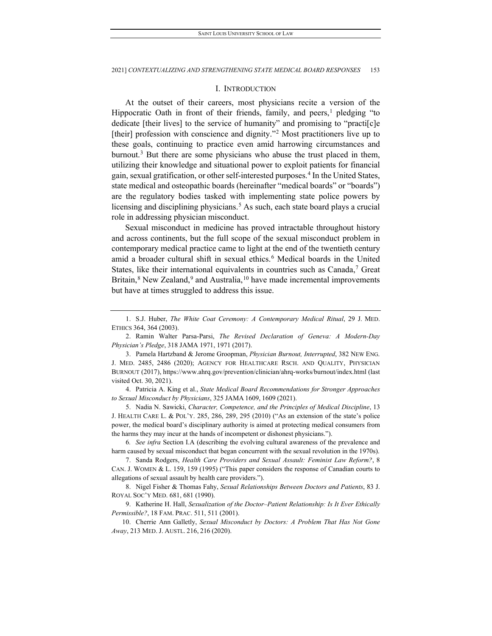## I. INTRODUCTION

At the outset of their careers, most physicians recite a version of the Hippocratic Oath in front of their friends, family, and peers, pledging "to dedicate [their lives] to the service of humanity" and promising to "practi[c]e [their] profession with conscience and dignity."<sup>[2](#page-3-1)</sup> Most practitioners live up to these goals, continuing to practice even amid harrowing circumstances and burnout.<sup>[3](#page-3-2)</sup> But there are some physicians who abuse the trust placed in them, utilizing their knowledge and situational power to exploit patients for financial gain, sexual gratification, or other self-interested purposes.[4](#page-3-3) In the United States, state medical and osteopathic boards (hereinafter "medical boards" or "boards") are the regulatory bodies tasked with implementing state police powers by licensing and disciplining physicians.<sup>[5](#page-3-4)</sup> As such, each state board plays a crucial role in addressing physician misconduct.

Sexual misconduct in medicine has proved intractable throughout history and across continents, but the full scope of the sexual misconduct problem in contemporary medical practice came to light at the end of the twentieth century amid a broader cultural shift in sexual ethics.<sup>[6](#page-3-5)</sup> Medical boards in the United States, like their international equivalents in countries such as Canada,<sup>[7](#page-3-6)</sup> Great Britain, $8$  New Zealand, $9$  and Australia,  $10$  have made incremental improvements but have at times struggled to address this issue.

<span id="page-3-3"></span>4. Patricia A. King et al., *State Medical Board Recommendations for Stronger Approaches to Sexual Misconduct by Physicians*, 325 JAMA 1609, 1609 (2021).

<span id="page-3-4"></span>5. Nadia N. Sawicki, *Character, Competence, and the Principles of Medical Discipline*, 13 J. HEALTH CARE L. & POL'Y. 285, 286, 289, 295 (2010) ("As an extension of the state's police power, the medical board's disciplinary authority is aimed at protecting medical consumers from the harms they may incur at the hands of incompetent or dishonest physicians.").

<span id="page-3-5"></span>6*. See infra* Section I.A (describing the evolving cultural awareness of the prevalence and harm caused by sexual misconduct that began concurrent with the sexual revolution in the 1970s).

<span id="page-3-6"></span>7. Sanda Rodgers, *Health Care Providers and Sexual Assault: Feminist Law Reform?*, 8 CAN. J. WOMEN & L. 159, 159 (1995) ("This paper considers the response of Canadian courts to allegations of sexual assault by health care providers.").

<span id="page-3-7"></span>8. Nigel Fisher & Thomas Fahy, *Sexual Relationships Between Doctors and Patients*, 83 J. ROYAL SOC'Y MED. 681, 681 (1990).

<span id="page-3-8"></span>9. Katherine H. Hall, *Sexualization of the Doctor–Patient Relationship: Is It Ever Ethically Permissible?*, 18 FAM. PRAC. 511, 511 (2001).

<span id="page-3-9"></span>10. Cherrie Ann Galletly, *Sexual Misconduct by Doctors: A Problem That Has Not Gone Away*, 213 MED. J. AUSTL. 216, 216 (2020).

<span id="page-3-0"></span><sup>1.</sup> S.J. Huber, *The White Coat Ceremony: A Contemporary Medical Ritual*, 29 J. MED. ETHICS 364, 364 (2003).

<span id="page-3-1"></span><sup>2.</sup> Ramin Walter Parsa-Parsi, *The Revised Declaration of Geneva: A Modern-Day Physician's Pledge*, 318 JAMA 1971, 1971 (2017).

<span id="page-3-2"></span><sup>3.</sup> Pamela Hartzband & Jerome Groopman, *Physician Burnout, Interrupted*, 382 NEW ENG. J. MED. 2485, 2486 (2020); AGENCY FOR HEALTHCARE RSCH. AND QUALITY, PHYSICIAN BURNOUT (2017),<https://www.ahrq.gov/prevention/clinician/ahrq-works/burnout/index.html> (last visited Oct. 30, 2021).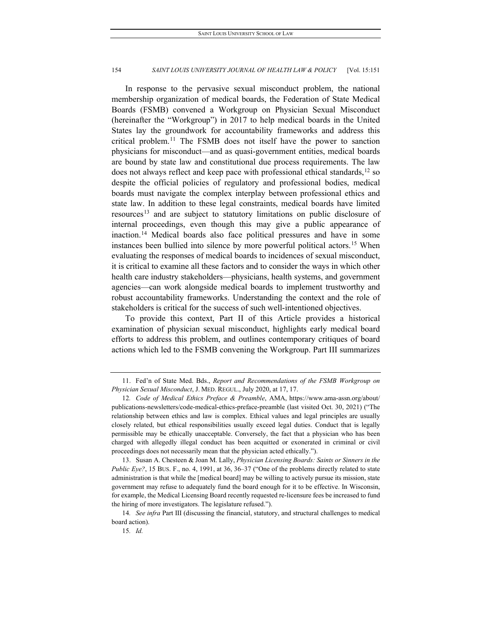In response to the pervasive sexual misconduct problem, the national membership organization of medical boards, the Federation of State Medical Boards (FSMB) convened a Workgroup on Physician Sexual Misconduct (hereinafter the "Workgroup") in 2017 to help medical boards in the United States lay the groundwork for accountability frameworks and address this critical problem.[11](#page-4-0) The FSMB does not itself have the power to sanction physicians for misconduct—and as quasi-government entities, medical boards are bound by state law and constitutional due process requirements. The law does not always reflect and keep pace with professional ethical standards, $12$  so despite the official policies of regulatory and professional bodies, medical boards must navigate the complex interplay between professional ethics and state law. In addition to these legal constraints, medical boards have limited resources<sup>[13](#page-4-2)</sup> and are subject to statutory limitations on public disclosure of internal proceedings, even though this may give a public appearance of inaction.[14](#page-4-3) Medical boards also face political pressures and have in some instances been bullied into silence by more powerful political actors.<sup>[15](#page-4-4)</sup> When evaluating the responses of medical boards to incidences of sexual misconduct, it is critical to examine all these factors and to consider the ways in which other health care industry stakeholders—physicians, health systems, and government agencies—can work alongside medical boards to implement trustworthy and robust accountability frameworks. Understanding the context and the role of stakeholders is critical for the success of such well-intentioned objectives.

To provide this context, Part II of this Article provides a historical examination of physician sexual misconduct, highlights early medical board efforts to address this problem, and outlines contemporary critiques of board actions which led to the FSMB convening the Workgroup. Part III summarizes

<span id="page-4-0"></span><sup>11.</sup> Fed'n of State Med. Bds., *Report and Recommendations of the FSMB Workgroup on Physician Sexual Misconduct*, J. MED. REGUL., July 2020, at 17, 17.

<span id="page-4-1"></span><sup>12</sup>*. Code of Medical Ethics Preface & Preamble*, AMA, https://www.ama-assn.org/about/ publications-newsletters/code-medical-ethics-preface-preamble (last visited Oct. 30, 2021) ("The relationship between ethics and law is complex. Ethical values and legal principles are usually closely related, but ethical responsibilities usually exceed legal duties. Conduct that is legally permissible may be ethically unacceptable. Conversely, the fact that a physician who has been charged with allegedly illegal conduct has been acquitted or exonerated in criminal or civil proceedings does not necessarily mean that the physician acted ethically.").

<span id="page-4-2"></span><sup>13.</sup> Susan A. Chesteen & Joan M. Lally, *Physician Licensing Boards: Saints or Sinners in the Public Eye?*, 15 BUS. F., no. 4, 1991, at 36, 36–37 ("One of the problems directly related to state administration is that while the [medical board] may be willing to actively pursue its mission, state government may refuse to adequately fund the board enough for it to be effective. In Wisconsin, for example, the Medical Licensing Board recently requested re-licensure fees be increased to fund the hiring of more investigators. The legislature refused.").

<span id="page-4-4"></span><span id="page-4-3"></span><sup>14</sup>*. See infra* Part III (discussing the financial, statutory, and structural challenges to medical board action).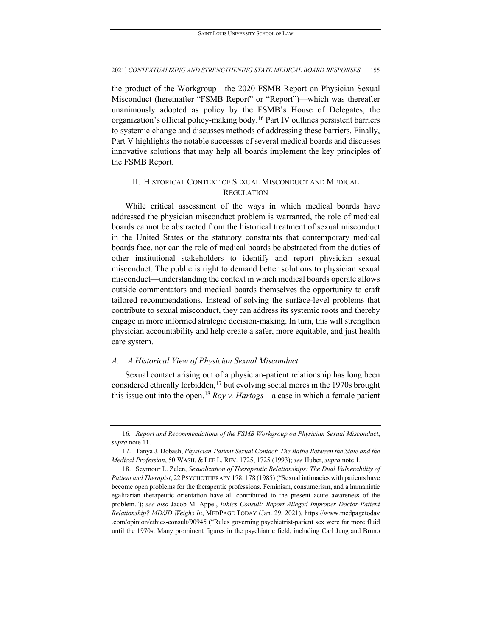the product of the Workgroup—the 2020 FSMB Report on Physician Sexual Misconduct (hereinafter "FSMB Report" or "Report")—which was thereafter unanimously adopted as policy by the FSMB's House of Delegates, the organization's official policy-making body[.16](#page-5-0) Part IV outlines persistent barriers to systemic change and discusses methods of addressing these barriers. Finally, Part V highlights the notable successes of several medical boards and discusses innovative solutions that may help all boards implement the key principles of the FSMB Report.

## II. HISTORICAL CONTEXT OF SEXUAL MISCONDUCT AND MEDICAL **REGULATION**

While critical assessment of the ways in which medical boards have addressed the physician misconduct problem is warranted, the role of medical boards cannot be abstracted from the historical treatment of sexual misconduct in the United States or the statutory constraints that contemporary medical boards face, nor can the role of medical boards be abstracted from the duties of other institutional stakeholders to identify and report physician sexual misconduct. The public is right to demand better solutions to physician sexual misconduct—understanding the context in which medical boards operate allows outside commentators and medical boards themselves the opportunity to craft tailored recommendations. Instead of solving the surface-level problems that contribute to sexual misconduct, they can address its systemic roots and thereby engage in more informed strategic decision-making. In turn, this will strengthen physician accountability and help create a safer, more equitable, and just health care system.

## *A. A Historical View of Physician Sexual Misconduct*

Sexual contact arising out of a physician-patient relationship has long been considered ethically forbidden, $17$  but evolving social mores in the 1970s brought this issue out into the open.[18](#page-5-2) *Roy v. Hartogs*—a case in which a female patient

<span id="page-5-0"></span><sup>16</sup>*. Report and Recommendations of the FSMB Workgroup on Physician Sexual Misconduct*, *supra* note 11.

<span id="page-5-1"></span><sup>17.</sup> Tanya J. Dobash, *Physician-Patient Sexual Contact: The Battle Between the State and the Medical Profession*, 50 WASH. & LEE L. REV. 1725, 1725 (1993); *see* Huber, *supra* note 1.

<span id="page-5-2"></span><sup>18.</sup> Seymour L. Zelen, *Sexualization of Therapeutic Relationships: The Dual Vulnerability of Patient and Therapist*, 22 PSYCHOTHERAPY 178, 178 (1985) ("Sexual intimacies with patients have become open problems for the therapeutic professions. Feminism, consumerism, and a humanistic egalitarian therapeutic orientation have all contributed to the present acute awareness of the problem."); *see also* Jacob M. Appel, *Ethics Consult: Report Alleged Improper Doctor-Patient Relationship? MD/JD Weighs In*, MEDPAGE TODAY (Jan. 29, 2021), https://www.medpagetoday .com/opinion/ethics-consult/90945 ("Rules governing psychiatrist-patient sex were far more fluid until the 1970s. Many prominent figures in the psychiatric field, including Carl Jung and Bruno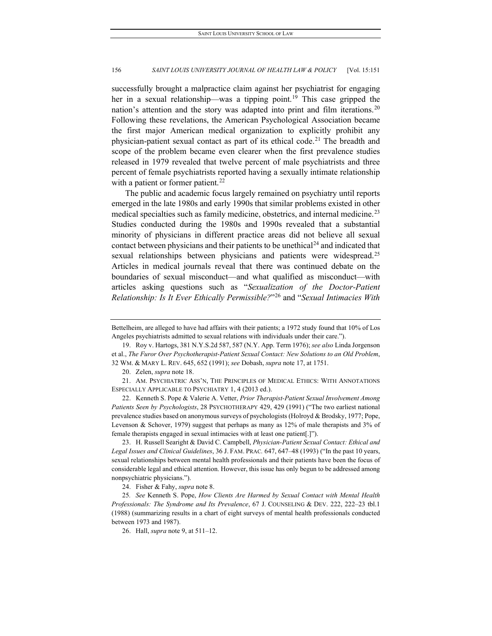successfully brought a malpractice claim against her psychiatrist for engaging her in a sexual relationship—was a tipping point.<sup>[19](#page-6-0)</sup> This case gripped the nation's attention and the story was adapted into print and film iterations.<sup>[20](#page-6-1)</sup> Following these revelations, the American Psychological Association became the first major American medical organization to explicitly prohibit any physician-patient sexual contact as part of its ethical code.<sup>[21](#page-6-2)</sup> The breadth and scope of the problem became even clearer when the first prevalence studies released in 1979 revealed that twelve percent of male psychiatrists and three percent of female psychiatrists reported having a sexually intimate relationship with a patient or former patient.<sup>[22](#page-6-3)</sup>

The public and academic focus largely remained on psychiatry until reports emerged in the late 1980s and early 1990s that similar problems existed in other medical specialties such as family medicine, obstetrics, and internal medicine.[23](#page-6-4) Studies conducted during the 1980s and 1990s revealed that a substantial minority of physicians in different practice areas did not believe all sexual contact between physicians and their patients to be unethical<sup>[24](#page-6-5)</sup> and indicated that sexual relationships between physicians and patients were widespread.<sup>[25](#page-6-6)</sup> Articles in medical journals reveal that there was continued debate on the boundaries of sexual misconduct—and what qualified as misconduct—with articles asking questions such as "*Sexualization of the Doctor-Patient Relationship: Is It Ever Ethically Permissible?*["26](#page-6-7) and "*Sexual Intimacies With* 

<span id="page-6-3"></span>22. Kenneth S. Pope & Valerie A. Vetter, *Prior Therapist-Patient Sexual Involvement Among Patients Seen by Psychologists*, 28 PSYCHOTHERAPY 429, 429 (1991) ("The two earliest national prevalence studies based on anonymous surveys of psychologists (Holroyd & Brodsky, 1977; Pope, Levenson & Schover, 1979) suggest that perhaps as many as 12% of male therapists and 3% of female therapists engaged in sexual intimacies with at least one patient[.]").

<span id="page-6-4"></span>23. H. Russell Searight & David C. Campbell, *Physician-Patient Sexual Contact: Ethical and Legal Issues and Clinical Guidelines*, 36 J. FAM. PRAC*.* 647, 647–48 (1993) ("In the past 10 years, sexual relationships between mental health professionals and their patients have been the focus of considerable legal and ethical attention. However, this issue has only begun to be addressed among nonpsychiatric physicians.").

Bettelheim, are alleged to have had affairs with their patients; a 1972 study found that 10% of Los Angeles psychiatrists admitted to sexual relations with individuals under their care.").

<span id="page-6-0"></span><sup>19.</sup> Roy v. Hartogs, 381 N.Y.S.2d 587, 587 (N.Y. App. Term 1976); *see also* Linda Jorgenson et al., *The Furor Over Psychotherapist-Patient Sexual Contact: New Solutions to an Old Problem*, 32 WM. & MARY L. REV. 645, 652 (1991); *see* Dobash, *supra* note 17, at 1751.

<sup>20.</sup> Zelen, *supra* note 18.

<span id="page-6-2"></span><span id="page-6-1"></span><sup>21.</sup> AM. PSYCHIATRIC ASS'N, THE PRINCIPLES OF MEDICAL ETHICS: WITH ANNOTATIONS ESPECIALLY APPLICABLE TO PSYCHIATRY 1, 4 (2013 ed.).

<sup>24.</sup> Fisher & Fahy, *supra* note 8.

<span id="page-6-7"></span><span id="page-6-6"></span><span id="page-6-5"></span><sup>25</sup>*. See* Kenneth S. Pope, *How Clients Are Harmed by Sexual Contact with Mental Health Professionals: The Syndrome and Its Prevalence*, 67 J. COUNSELING & DEV. 222, 222–23 tbl.1 (1988) (summarizing results in a chart of eight surveys of mental health professionals conducted between 1973 and 1987).

<sup>26.</sup> Hall, *supra* note 9, at 511–12.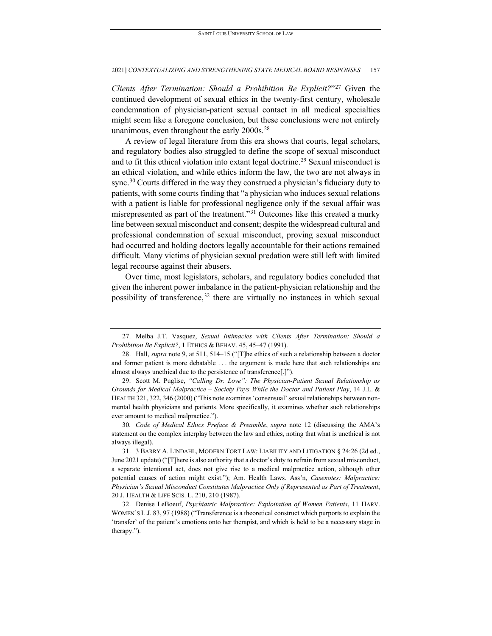*Clients After Termination: Should a Prohibition Be Explicit?*"[27](#page-7-0) Given the continued development of sexual ethics in the twenty-first century, wholesale condemnation of physician-patient sexual contact in all medical specialties might seem like a foregone conclusion, but these conclusions were not entirely unanimous, even throughout the early  $2000s.^{28}$  $2000s.^{28}$  $2000s.^{28}$ 

A review of legal literature from this era shows that courts, legal scholars, and regulatory bodies also struggled to define the scope of sexual misconduct and to fit this ethical violation into extant legal doctrine.<sup>[29](#page-7-2)</sup> Sexual misconduct is an ethical violation, and while ethics inform the law, the two are not always in sync.<sup>[30](#page-7-3)</sup> Courts differed in the way they construed a physician's fiduciary duty to patients, with some courts finding that "a physician who induces sexual relations with a patient is liable for professional negligence only if the sexual affair was misrepresented as part of the treatment."[31](#page-7-4) Outcomes like this created a murky line between sexual misconduct and consent; despite the widespread cultural and professional condemnation of sexual misconduct, proving sexual misconduct had occurred and holding doctors legally accountable for their actions remained difficult. Many victims of physician sexual predation were still left with limited legal recourse against their abusers.

Over time, most legislators, scholars, and regulatory bodies concluded that given the inherent power imbalance in the patient-physician relationship and the possibility of transference,  $32$  there are virtually no instances in which sexual

<span id="page-7-3"></span>30*. Code of Medical Ethics Preface & Preamble*, *supra* note 12 (discussing the AMA's statement on the complex interplay between the law and ethics, noting that what is unethical is not always illegal).

<span id="page-7-5"></span>32. Denise LeBoeuf, *Psychiatric Malpractice: Exploitation of Women Patients*, 11 HARV. WOMEN'S L.J. 83, 97 (1988) ("Transference is a theoretical construct which purports to explain the 'transfer' of the patient's emotions onto her therapist, and which is held to be a necessary stage in therapy.").

<span id="page-7-0"></span><sup>27.</sup> Melba J.T. Vasquez, *Sexual Intimacies with Clients After Termination: Should a Prohibition Be Explicit?*, 1 ETHICS & BEHAV. 45, 45–47 (1991).

<span id="page-7-1"></span><sup>28.</sup> Hall, *supra* note 9, at 511, 514–15 ("[T]he ethics of such a relationship between a doctor and former patient is more debatable . . . the argument is made here that such relationships are almost always unethical due to the persistence of transference[.]").

<span id="page-7-2"></span><sup>29.</sup> Scott M. Puglise, *"Calling Dr. Love": The Physician-Patient Sexual Relationship as Grounds for Medical Malpractice – Society Pays While the Doctor and Patient Play*, 14 J.L. & HEALTH 321, 322, 346 (2000) ("This note examines 'consensual'sexual relationships between nonmental health physicians and patients. More specifically, it examines whether such relationships ever amount to medical malpractice.").

<span id="page-7-4"></span><sup>31.</sup> 3 BARRY A. LINDAHL, MODERN TORT LAW: LIABILITY AND LITIGATION § 24:26 (2d ed., June 2021 update) ("[T]here is also authority that a doctor's duty to refrain from sexual misconduct, a separate intentional act, does not give rise to a medical malpractice action, although other potential causes of action might exist."); Am. Health Laws. Ass'n, *Casenotes: Malpractice: Physician's Sexual Misconduct Constitutes Malpractice Only if Represented as Part of Treatment*, 20 J. HEALTH & LIFE SCIS. L. 210, 210 (1987).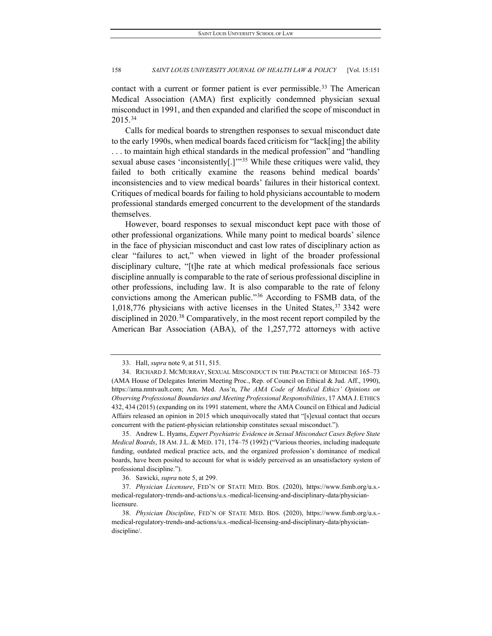contact with a current or former patient is ever permissible.<sup>[33](#page-8-0)</sup> The American Medical Association (AMA) first explicitly condemned physician sexual misconduct in 1991, and then expanded and clarified the scope of misconduct in 2015.[34](#page-8-1)

Calls for medical boards to strengthen responses to sexual misconduct date to the early 1990s, when medical boards faced criticism for "lack[ing] the ability . . . to maintain high ethical standards in the medical profession" and "handling sexual abuse cases 'inconsistently[.]'<sup>[35](#page-8-2)</sup> While these critiques were valid, they failed to both critically examine the reasons behind medical boards' inconsistencies and to view medical boards' failures in their historical context. Critiques of medical boards for failing to hold physicians accountable to modern professional standards emerged concurrent to the development of the standards themselves.

However, board responses to sexual misconduct kept pace with those of other professional organizations. While many point to medical boards' silence in the face of physician misconduct and cast low rates of disciplinary action as clear "failures to act," when viewed in light of the broader professional disciplinary culture, "[t]he rate at which medical professionals face serious discipline annually is comparable to the rate of serious professional discipline in other professions, including law. It is also comparable to the rate of felony convictions among the American public."[36](#page-8-3) According to FSMB data, of the 1,018,776 physicians with active licenses in the United States,[37](#page-8-4) 3342 were disciplined in 2020.<sup>[38](#page-8-5)</sup> Comparatively, in the most recent report compiled by the American Bar Association (ABA), of the 1,257,772 attorneys with active

<sup>33.</sup> Hall, *supra* note 9, at 511, 515.

<span id="page-8-1"></span><span id="page-8-0"></span><sup>34.</sup> RICHARD J. MCMURRAY, SEXUAL MISCONDUCT IN THE PRACTICE OF MEDICINE 165–73 (AMA House of Delegates Interim Meeting Proc., Rep. of Council on Ethical & Jud. Aff., 1990), https://ama.nmtvault.com; Am. Med. Ass'n, *The AMA Code of Medical Ethics' Opinions on Observing Professional Boundaries and Meeting Professional Responsibilities*, 17 AMA J. ETHICS 432, 434 (2015) (expanding on its 1991 statement, where the AMA Council on Ethical and Judicial Affairs released an opinion in 2015 which unequivocally stated that "[s]exual contact that occurs concurrent with the patient-physician relationship constitutes sexual misconduct.").

<span id="page-8-2"></span><sup>35.</sup> Andrew L. Hyams, *Expert Psychiatric Evidence in Sexual Misconduct Cases Before State Medical Boards*, 18 AM.J.L. & MED. 171, 174–75 (1992) ("Various theories, including inadequate funding, outdated medical practice acts, and the organized profession's dominance of medical boards, have been posited to account for what is widely perceived as an unsatisfactory system of professional discipline.").

<sup>36.</sup> Sawicki, *supra* note 5, at 299.

<span id="page-8-4"></span><span id="page-8-3"></span><sup>37.</sup> *Physician Licensure*, FED'N OF STATE MED. BDS. (2020), https://www.fsmb.org/u.s. medical-regulatory-trends-and-actions/u.s.-medical-licensing-and-disciplinary-data/physicianlicensure.

<span id="page-8-5"></span><sup>38.</sup> *Physician Discipline*, FED'N OF STATE MED. BDS. (2020), https://www.fsmb.org/u.s. medical-regulatory-trends-and-actions/u.s.-medical-licensing-and-disciplinary-data/physiciandiscipline/.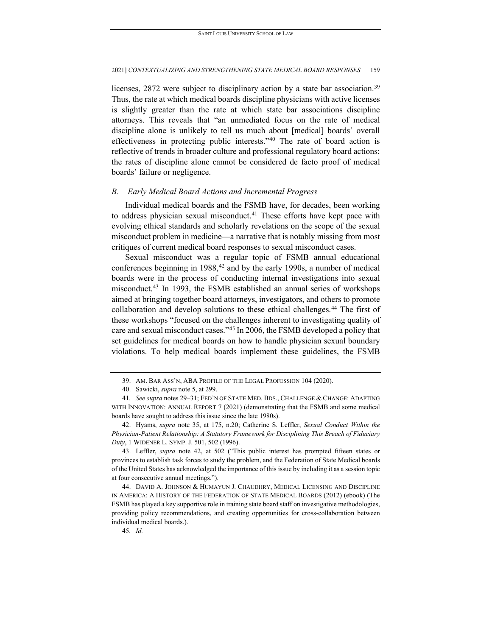licenses, 2872 were subject to disciplinary action by a state bar association.[39](#page-9-0) Thus, the rate at which medical boards discipline physicians with active licenses is slightly greater than the rate at which state bar associations discipline attorneys. This reveals that "an unmediated focus on the rate of medical discipline alone is unlikely to tell us much about [medical] boards' overall effectiveness in protecting public interests."[40](#page-9-1) The rate of board action is reflective of trends in broader culture and professional regulatory board actions; the rates of discipline alone cannot be considered de facto proof of medical boards' failure or negligence.

## *B. Early Medical Board Actions and Incremental Progress*

Individual medical boards and the FSMB have, for decades, been working to address physician sexual misconduct.<sup>41</sup> These efforts have kept pace with evolving ethical standards and scholarly revelations on the scope of the sexual misconduct problem in medicine—a narrative that is notably missing from most critiques of current medical board responses to sexual misconduct cases.

Sexual misconduct was a regular topic of FSMB annual educational conferences beginning in  $1988$ <sup>[42](#page-9-3)</sup> and by the early 1990s, a number of medical boards were in the process of conducting internal investigations into sexual misconduct.[43](#page-9-4) In 1993, the FSMB established an annual series of workshops aimed at bringing together board attorneys, investigators, and others to promote collaboration and develop solutions to these ethical challenges.<sup>[44](#page-9-5)</sup> The first of these workshops "focused on the challenges inherent to investigating quality of care and sexual misconduct cases."[45](#page-9-6) In 2006, the FSMB developed a policy that set guidelines for medical boards on how to handle physician sexual boundary violations. To help medical boards implement these guidelines, the FSMB

<sup>39.</sup> AM. BAR ASS'N, ABA PROFILE OF THE LEGAL PROFESSION 104 (2020).

<sup>40.</sup> Sawicki, *supra* note 5, at 299.

<span id="page-9-2"></span><span id="page-9-1"></span><span id="page-9-0"></span><sup>41</sup>*. See supra* notes 29–31; FED'N OF STATE MED. BDS., CHALLENGE & CHANGE: ADAPTING WITH INNOVATION: ANNUAL REPORT 7 (2021) (demonstrating that the FSMB and some medical boards have sought to address this issue since the late 1980s).

<span id="page-9-3"></span><sup>42.</sup> Hyams, *supra* note 35, at 175, n.20; Catherine S. Leffler, *Sexual Conduct Within the Physician-Patient Relationship: A Statutory Framework for Disciplining This Breach of Fiduciary Duty*, 1 WIDENER L. SYMP. J. 501, 502 (1996).

<span id="page-9-4"></span><sup>43.</sup> Leffler, *supra* note 42, at 502 ("This public interest has prompted fifteen states or provinces to establish task forces to study the problem, and the Federation of State Medical boards of the United States has acknowledged the importance of this issue by including it as a session topic at four consecutive annual meetings.").

<span id="page-9-6"></span><span id="page-9-5"></span><sup>44.</sup> DAVID A. JOHNSON & HUMAYUN J. CHAUDHRY, MEDICAL LICENSING AND DISCIPLINE IN AMERICA: A HISTORY OF THE FEDERATION OF STATE MEDICAL BOARDS (2012) (ebook) (The FSMB has played a key supportive role in training state board staff on investigative methodologies, providing policy recommendations, and creating opportunities for cross-collaboration between individual medical boards.).

<sup>45</sup>*. Id.*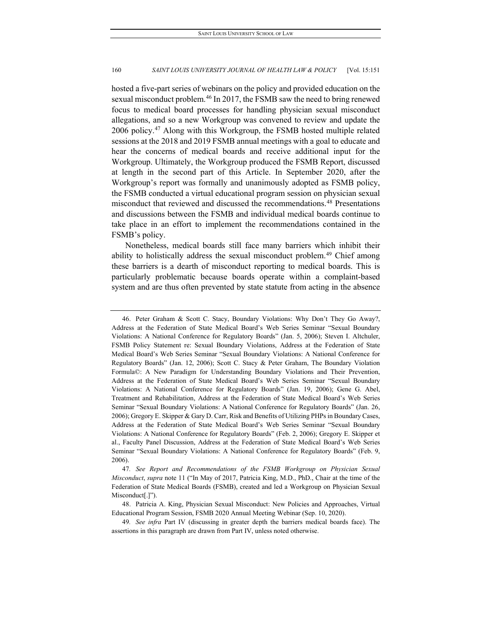hosted a five-part series of webinars on the policy and provided education on the sexual misconduct problem.<sup>[46](#page-10-0)</sup> In 2017, the FSMB saw the need to bring renewed focus to medical board processes for handling physician sexual misconduct allegations, and so a new Workgroup was convened to review and update the 2006 policy.[47](#page-10-1) Along with this Workgroup, the FSMB hosted multiple related sessions at the 2018 and 2019 FSMB annual meetings with a goal to educate and hear the concerns of medical boards and receive additional input for the Workgroup. Ultimately, the Workgroup produced the FSMB Report, discussed at length in the second part of this Article. In September 2020, after the Workgroup's report was formally and unanimously adopted as FSMB policy, the FSMB conducted a virtual educational program session on physician sexual misconduct that reviewed and discussed the recommendations.<sup>[48](#page-10-2)</sup> Presentations and discussions between the FSMB and individual medical boards continue to take place in an effort to implement the recommendations contained in the FSMB's policy.

Nonetheless, medical boards still face many barriers which inhibit their ability to holistically address the sexual misconduct problem.<sup>[49](#page-10-3)</sup> Chief among these barriers is a dearth of misconduct reporting to medical boards. This is particularly problematic because boards operate within a complaint-based system and are thus often prevented by state statute from acting in the absence

<span id="page-10-0"></span><sup>46.</sup> Peter Graham & Scott C. Stacy, Boundary Violations: Why Don't They Go Away?, Address at the Federation of State Medical Board's Web Series Seminar "Sexual Boundary Violations: A National Conference for Regulatory Boards" (Jan. 5, 2006); Steven I. Altchuler, FSMB Policy Statement re: Sexual Boundary Violations, Address at the Federation of State Medical Board's Web Series Seminar "Sexual Boundary Violations: A National Conference for Regulatory Boards" (Jan. 12, 2006); Scott C. Stacy & Peter Graham, The Boundary Violation Formula©: A New Paradigm for Understanding Boundary Violations and Their Prevention, Address at the Federation of State Medical Board's Web Series Seminar "Sexual Boundary Violations: A National Conference for Regulatory Boards" (Jan. 19, 2006); Gene G. Abel, Treatment and Rehabilitation, Address at the Federation of State Medical Board's Web Series Seminar "Sexual Boundary Violations: A National Conference for Regulatory Boards" (Jan. 26, 2006); Gregory E. Skipper & Gary D. Carr, Risk and Benefits of Utilizing PHPs in Boundary Cases, Address at the Federation of State Medical Board's Web Series Seminar "Sexual Boundary Violations: A National Conference for Regulatory Boards" (Feb. 2, 2006); Gregory E. Skipper et al., Faculty Panel Discussion, Address at the Federation of State Medical Board's Web Series Seminar "Sexual Boundary Violations: A National Conference for Regulatory Boards" (Feb. 9, 2006).

<span id="page-10-1"></span><sup>47</sup>*. See Report and Recommendations of the FSMB Workgroup on Physician Sexual Misconduct*, *supra* note 11 ("In May of 2017, Patricia King, M.D., PhD., Chair at the time of the Federation of State Medical Boards (FSMB), created and led a Workgroup on Physician Sexual Misconduct[.]").

<span id="page-10-2"></span><sup>48.</sup> Patricia A. King, Physician Sexual Misconduct: New Policies and Approaches, Virtual Educational Program Session, FSMB 2020 Annual Meeting Webinar (Sep. 10, 2020).

<span id="page-10-3"></span><sup>49</sup>*. See infra* Part IV (discussing in greater depth the barriers medical boards face). The assertions in this paragraph are drawn from Part IV, unless noted otherwise.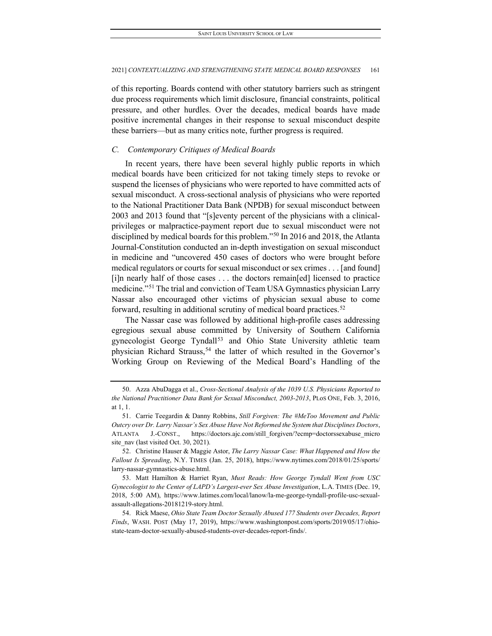of this reporting. Boards contend with other statutory barriers such as stringent due process requirements which limit disclosure, financial constraints, political pressure, and other hurdles. Over the decades, medical boards have made positive incremental changes in their response to sexual misconduct despite these barriers—but as many critics note, further progress is required.

## *C. Contemporary Critiques of Medical Boards*

In recent years, there have been several highly public reports in which medical boards have been criticized for not taking timely steps to revoke or suspend the licenses of physicians who were reported to have committed acts of sexual misconduct. A cross-sectional analysis of physicians who were reported to the National Practitioner Data Bank (NPDB) for sexual misconduct between 2003 and 2013 found that "[s]eventy percent of the physicians with a clinicalprivileges or malpractice-payment report due to sexual misconduct were not disciplined by medical boards for this problem."[50](#page-11-0) In 2016 and 2018, the Atlanta Journal-Constitution conducted an in-depth investigation on sexual misconduct in medicine and "uncovered 450 cases of doctors who were brought before medical regulators or courts for sexual misconduct or sex crimes . . . [and found] [i]n nearly half of those cases . . . the doctors remain[ed] licensed to practice medicine."[51](#page-11-1) The trial and conviction of Team USA Gymnastics physician Larry Nassar also encouraged other victims of physician sexual abuse to come forward, resulting in additional scrutiny of medical board practices.<sup>[52](#page-11-2)</sup>

The Nassar case was followed by additional high-profile cases addressing egregious sexual abuse committed by University of Southern California gynecologist George Tyndall<sup>[53](#page-11-3)</sup> and Ohio State University athletic team physician Richard Strauss,<sup>[54](#page-11-4)</sup> the latter of which resulted in the Governor's Working Group on Reviewing of the Medical Board's Handling of the

<span id="page-11-0"></span><sup>50.</sup> Azza AbuDagga et al., *Cross-Sectional Analysis of the 1039 U.S. Physicians Reported to the National Practitioner Data Bank for Sexual Misconduct, 2003-2013*, PLoS ONE, Feb. 3, 2016, at 1, 1.

<span id="page-11-1"></span><sup>51.</sup> Carrie Teegardin & Danny Robbins, *Still Forgiven: The #MeToo Movement and Public Outcry over Dr. Larry Nassar's Sex Abuse Have Not Reformed the System that Disciplines Doctors*, ATLANTA J.-CONST., https://doctors.ajc.com/still\_forgiven/?ecmp=doctorssexabuse\_micro site\_nav (last visited Oct. 30, 2021).

<span id="page-11-2"></span><sup>52.</sup> Christine Hauser & Maggie Astor, *The Larry Nassar Case: What Happened and How the Fallout Is Spreading*, N.Y. TIMES (Jan. 25, 2018), https://www.nytimes.com/2018/01/25/sports/ larry-nassar-gymnastics-abuse.html.

<span id="page-11-3"></span><sup>53.</sup> Matt Hamilton & Harriet Ryan, *Must Reads: How George Tyndall Went from USC Gynecologist to the Center of LAPD's Largest-ever Sex Abuse Investigation*, L.A. TIMES (Dec. 19, 2018, 5:00 AM), https://www.latimes.com/local/lanow/la-me-george-tyndall-profile-usc-sexualassault-allegations-20181219-story.html.

<span id="page-11-4"></span><sup>54.</sup> Rick Maese, *Ohio State Team Doctor Sexually Abused 177 Students over Decades, Report Finds*, WASH. POST (May 17, 2019), https://www.washingtonpost.com/sports/2019/05/17/ohiostate-team-doctor-sexually-abused-students-over-decades-report-finds/.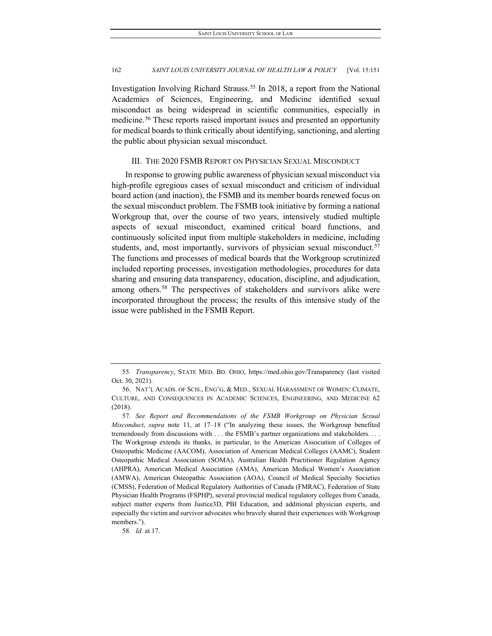Investigation Involving Richard Strauss.[55](#page-12-0) In 2018, a report from the National Academies of Sciences, Engineering, and Medicine identified sexual misconduct as being widespread in scientific communities, especially in medicine.[56](#page-12-1) These reports raised important issues and presented an opportunity for medical boards to think critically about identifying, sanctioning, and alerting the public about physician sexual misconduct.

## III. THE 2020 FSMB REPORT ON PHYSICIAN SEXUAL MISCONDUCT

In response to growing public awareness of physician sexual misconduct via high-profile egregious cases of sexual misconduct and criticism of individual board action (and inaction), the FSMB and its member boards renewed focus on the sexual misconduct problem. The FSMB took initiative by forming a national Workgroup that, over the course of two years, intensively studied multiple aspects of sexual misconduct, examined critical board functions, and continuously solicited input from multiple stakeholders in medicine, including students, and, most importantly, survivors of physician sexual misconduct.<sup>[57](#page-12-2)</sup> The functions and processes of medical boards that the Workgroup scrutinized included reporting processes, investigation methodologies, procedures for data sharing and ensuring data transparency, education, discipline, and adjudication, among others.<sup>[58](#page-12-3)</sup> The perspectives of stakeholders and survivors alike were incorporated throughout the process; the results of this intensive study of the issue were published in the FSMB Report.

<span id="page-12-3"></span>58*. Id.* at 17.

<span id="page-12-0"></span><sup>55</sup>*. Transparency*, STATE MED. BD. OHIO, https://med.ohio.gov/Transparency (last visited Oct. 30, 2021).

<span id="page-12-1"></span><sup>56.</sup> NAT'L ACADS. OF SCIS., ENG'G, & MED., SEXUAL HARASSMENT OF WOMEN: CLIMATE, CULTURE, AND CONSEQUENCES IN ACADEMIC SCIENCES, ENGINEERING, AND MEDICINE 62 (2018).

<span id="page-12-2"></span><sup>57</sup>*. See Report and Recommendations of the FSMB Workgroup on Physician Sexual Misconduct*, *supra* note 11, at 17–18 ("In analyzing these issues, the Workgroup benefited tremendously from discussions with . . . the FSMB's partner organizations and stakeholders. . . . The Workgroup extends its thanks, in particular, to the American Association of Colleges of Osteopathic Medicine (AACOM), Association of American Medical Colleges (AAMC), Student Osteopathic Medical Association (SOMA), Australian Health Practitioner Regulation Agency (AHPRA), American Medical Association (AMA), American Medical Women's Association (AMWA), American Osteopathic Association (AOA), Council of Medical Specialty Societies (CMSS), Federation of Medical Regulatory Authorities of Canada (FMRAC), Federation of State Physician Health Programs (FSPHP), several provincial medical regulatory colleges from Canada, subject matter experts from Justice3D, PBI Education, and additional physician experts, and especially the victim and survivor advocates who bravely shared their experiences with Workgroup members.").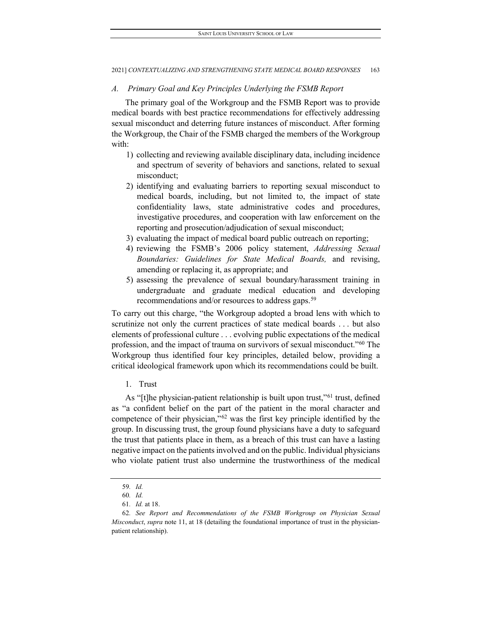## *A. Primary Goal and Key Principles Underlying the FSMB Report*

The primary goal of the Workgroup and the FSMB Report was to provide medical boards with best practice recommendations for effectively addressing sexual misconduct and deterring future instances of misconduct. After forming the Workgroup, the Chair of the FSMB charged the members of the Workgroup with:

- 1) collecting and reviewing available disciplinary data, including incidence and spectrum of severity of behaviors and sanctions, related to sexual misconduct;
- 2) identifying and evaluating barriers to reporting sexual misconduct to medical boards, including, but not limited to, the impact of state confidentiality laws, state administrative codes and procedures, investigative procedures, and cooperation with law enforcement on the reporting and prosecution/adjudication of sexual misconduct;
- 3) evaluating the impact of medical board public outreach on reporting;
- 4) reviewing the FSMB's 2006 policy statement, *Addressing Sexual Boundaries: Guidelines for State Medical Boards,* and revising, amending or replacing it, as appropriate; and
- 5) assessing the prevalence of sexual boundary/harassment training in undergraduate and graduate medical education and developing recommendations and/or resources to address gaps.<sup>[59](#page-13-0)</sup>

To carry out this charge, "the Workgroup adopted a broad lens with which to scrutinize not only the current practices of state medical boards . . . but also elements of professional culture . . . evolving public expectations of the medical profession, and the impact of trauma on survivors of sexual misconduct."[60](#page-13-1) The Workgroup thus identified four key principles, detailed below, providing a critical ideological framework upon which its recommendations could be built.

1. Trust

As "[t]he physician-patient relationship is built upon trust,"<sup>[61](#page-13-2)</sup> trust, defined as "a confident belief on the part of the patient in the moral character and competence of their physician,"[62](#page-13-3) was the first key principle identified by the group. In discussing trust, the group found physicians have a duty to safeguard the trust that patients place in them, as a breach of this trust can have a lasting negative impact on the patients involved and on the public. Individual physicians who violate patient trust also undermine the trustworthiness of the medical

<sup>59</sup>*. Id.*

<sup>60</sup>*. Id.*

<sup>61</sup>*. Id.* at 18.

<span id="page-13-3"></span><span id="page-13-2"></span><span id="page-13-1"></span><span id="page-13-0"></span><sup>62</sup>*. See Report and Recommendations of the FSMB Workgroup on Physician Sexual Misconduct*, *supra* note 11, at 18 (detailing the foundational importance of trust in the physicianpatient relationship).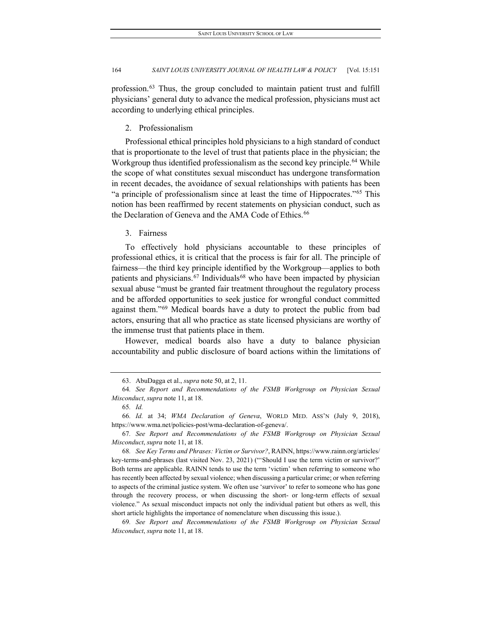profession.[63](#page-14-0) Thus, the group concluded to maintain patient trust and fulfill physicians' general duty to advance the medical profession, physicians must act according to underlying ethical principles.

2. Professionalism

Professional ethical principles hold physicians to a high standard of conduct that is proportionate to the level of trust that patients place in the physician; the Workgroup thus identified professionalism as the second key principle.<sup>[64](#page-14-1)</sup> While the scope of what constitutes sexual misconduct has undergone transformation in recent decades, the avoidance of sexual relationships with patients has been "a principle of professionalism since at least the time of Hippocrates."[65](#page-14-2) This notion has been reaffirmed by recent statements on physician conduct, such as the Declaration of Geneva and the AMA Code of Ethics.<sup>[66](#page-14-3)</sup>

3. Fairness

To effectively hold physicians accountable to these principles of professional ethics, it is critical that the process is fair for all. The principle of fairness—the third key principle identified by the Workgroup—applies to both patients and physicians.<sup>[67](#page-14-4)</sup> Individuals<sup>[68](#page-14-5)</sup> who have been impacted by physician sexual abuse "must be granted fair treatment throughout the regulatory process and be afforded opportunities to seek justice for wrongful conduct committed against them."[69](#page-14-6) Medical boards have a duty to protect the public from bad actors, ensuring that all who practice as state licensed physicians are worthy of the immense trust that patients place in them.

However, medical boards also have a duty to balance physician accountability and public disclosure of board actions within the limitations of

<span id="page-14-6"></span>69*. See Report and Recommendations of the FSMB Workgroup on Physician Sexual Misconduct*, *supra* note 11, at 18.

<sup>63.</sup> AbuDagga et al., *supra* note 50, at 2, 11.

<span id="page-14-1"></span><span id="page-14-0"></span><sup>64</sup>*. See Report and Recommendations of the FSMB Workgroup on Physician Sexual Misconduct*, *supra* note 11, at 18.

<sup>65</sup>*. Id.*

<span id="page-14-3"></span><span id="page-14-2"></span><sup>66</sup>*. Id.* at 34; *WMA Declaration of Geneva*, WORLD MED. ASS'N (July 9, 2018), https://www.wma.net/policies-post/wma-declaration-of-geneva/.

<span id="page-14-4"></span><sup>67</sup>*. See Report and Recommendations of the FSMB Workgroup on Physician Sexual Misconduct*, *supra* note 11, at 18.

<span id="page-14-5"></span><sup>68</sup>*. See Key Terms and Phrases: Victim or Survivor?*, RAINN, https://www.rainn.org/articles/ key-terms-and-phrases (last visited Nov. 23, 2021) ("'Should I use the term victim or survivor?' Both terms are applicable. RAINN tends to use the term 'victim' when referring to someone who has recently been affected by sexual violence; when discussing a particular crime; or when referring to aspects of the criminal justice system. We often use 'survivor' to refer to someone who has gone through the recovery process, or when discussing the short- or long-term effects of sexual violence." As sexual misconduct impacts not only the individual patient but others as well, this short article highlights the importance of nomenclature when discussing this issue.).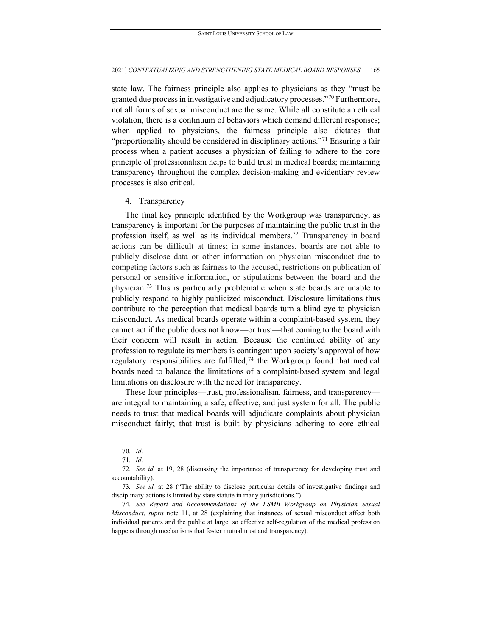state law. The fairness principle also applies to physicians as they "must be granted due process in investigative and adjudicatory processes."[70](#page-15-0) Furthermore, not all forms of sexual misconduct are the same. While all constitute an ethical violation, there is a continuum of behaviors which demand different responses; when applied to physicians, the fairness principle also dictates that "proportionality should be considered in disciplinary actions."<sup>[71](#page-15-1)</sup> Ensuring a fair process when a patient accuses a physician of failing to adhere to the core principle of professionalism helps to build trust in medical boards; maintaining transparency throughout the complex decision-making and evidentiary review processes is also critical.

## 4. Transparency

The final key principle identified by the Workgroup was transparency, as transparency is important for the purposes of maintaining the public trust in the profession itself, as well as its individual members.[72](#page-15-2) Transparency in board actions can be difficult at times; in some instances, boards are not able to publicly disclose data or other information on physician misconduct due to competing factors such as fairness to the accused, restrictions on publication of personal or sensitive information, or stipulations between the board and the physician.[73](#page-15-3) This is particularly problematic when state boards are unable to publicly respond to highly publicized misconduct. Disclosure limitations thus contribute to the perception that medical boards turn a blind eye to physician misconduct. As medical boards operate within a complaint-based system, they cannot act if the public does not know—or trust—that coming to the board with their concern will result in action. Because the continued ability of any profession to regulate its members is contingent upon society's approval of how regulatory responsibilities are fulfilled,<sup>[74](#page-15-4)</sup> the Workgroup found that medical boards need to balance the limitations of a complaint-based system and legal limitations on disclosure with the need for transparency.

These four principles—trust, professionalism, fairness, and transparency are integral to maintaining a safe, effective, and just system for all. The public needs to trust that medical boards will adjudicate complaints about physician misconduct fairly; that trust is built by physicians adhering to core ethical

<sup>70</sup>*. Id.*

<sup>71</sup>*. Id.*

<span id="page-15-2"></span><span id="page-15-1"></span><span id="page-15-0"></span><sup>72</sup>*. See id.* at 19, 28 (discussing the importance of transparency for developing trust and accountability).

<span id="page-15-3"></span><sup>73</sup>*. See id.* at 28 ("The ability to disclose particular details of investigative findings and disciplinary actions is limited by state statute in many jurisdictions.").

<span id="page-15-4"></span><sup>74</sup>*. See Report and Recommendations of the FSMB Workgroup on Physician Sexual Misconduct*, *supra* note 11, at 28 (explaining that instances of sexual misconduct affect both individual patients and the public at large, so effective self-regulation of the medical profession happens through mechanisms that foster mutual trust and transparency).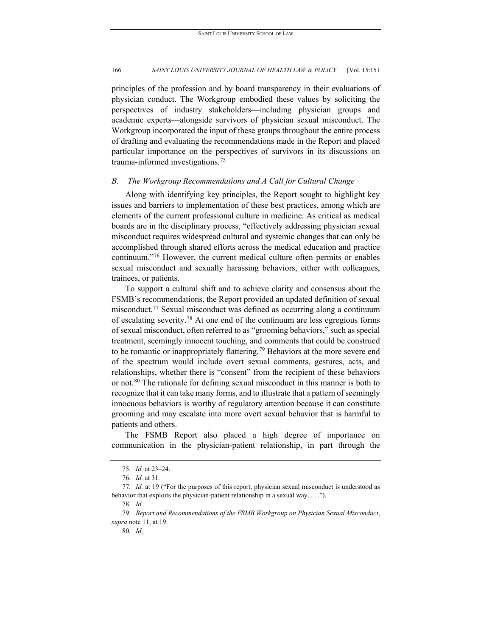principles of the profession and by board transparency in their evaluations of physician conduct. The Workgroup embodied these values by soliciting the perspectives of industry stakeholders—including physician groups and academic experts—alongside survivors of physician sexual misconduct. The Workgroup incorporated the input of these groups throughout the entire process of drafting and evaluating the recommendations made in the Report and placed particular importance on the perspectives of survivors in its discussions on trauma-informed investigations.[75](#page-16-0)

## *B. The Workgroup Recommendations and A Call for Cultural Change*

Along with identifying key principles, the Report sought to highlight key issues and barriers to implementation of these best practices, among which are elements of the current professional culture in medicine. As critical as medical boards are in the disciplinary process, "effectively addressing physician sexual misconduct requires widespread cultural and systemic changes that can only be accomplished through shared efforts across the medical education and practice continuum."[76](#page-16-1) However, the current medical culture often permits or enables sexual misconduct and sexually harassing behaviors, either with colleagues, trainees, or patients.

To support a cultural shift and to achieve clarity and consensus about the FSMB's recommendations, the Report provided an updated definition of sexual misconduct.[77](#page-16-2) Sexual misconduct was defined as occurring along a continuum of escalating severity.[78](#page-16-3) At one end of the continuum are less egregious forms of sexual misconduct, often referred to as "grooming behaviors," such as special treatment, seemingly innocent touching, and comments that could be construed to be romantic or inappropriately flattering. [79](#page-16-4) Behaviors at the more severe end of the spectrum would include overt sexual comments, gestures, acts, and relationships, whether there is "consent" from the recipient of these behaviors or not.<sup>[80](#page-16-5)</sup> The rationale for defining sexual misconduct in this manner is both to recognize that it can take many forms, and to illustrate that a pattern of seemingly innocuous behaviors is worthy of regulatory attention because it can constitute grooming and may escalate into more overt sexual behavior that is harmful to patients and others.

The FSMB Report also placed a high degree of importance on communication in the physician-patient relationship, in part through the

<sup>75</sup>*. Id.* at 23–24.

<sup>76</sup>*. Id.* at 31*.*

<span id="page-16-3"></span><span id="page-16-2"></span><span id="page-16-1"></span><span id="page-16-0"></span><sup>77</sup>*. Id.* at 19 ("For the purposes of this report, physician sexual misconduct is understood as behavior that exploits the physician-patient relationship in a sexual way. . . .").

<sup>78</sup>*. Id.*

<span id="page-16-5"></span><span id="page-16-4"></span><sup>79</sup>*. Report and Recommendations of the FSMB Workgroup on Physician Sexual Misconduct*, *supra* note 11, at 19.

<sup>80</sup>*. Id.*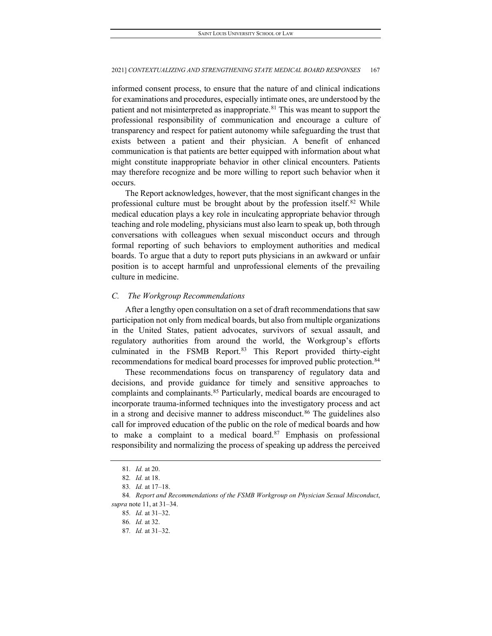informed consent process, to ensure that the nature of and clinical indications for examinations and procedures, especially intimate ones, are understood by the patient and not misinterpreted as inappropriate.<sup>[81](#page-17-0)</sup> This was meant to support the professional responsibility of communication and encourage a culture of transparency and respect for patient autonomy while safeguarding the trust that exists between a patient and their physician. A benefit of enhanced communication is that patients are better equipped with information about what might constitute inappropriate behavior in other clinical encounters. Patients may therefore recognize and be more willing to report such behavior when it occurs.

The Report acknowledges, however, that the most significant changes in the professional culture must be brought about by the profession itself.[82](#page-17-1) While medical education plays a key role in inculcating appropriate behavior through teaching and role modeling, physicians must also learn to speak up, both through conversations with colleagues when sexual misconduct occurs and through formal reporting of such behaviors to employment authorities and medical boards. To argue that a duty to report puts physicians in an awkward or unfair position is to accept harmful and unprofessional elements of the prevailing culture in medicine.

## *C. The Workgroup Recommendations*

After a lengthy open consultation on a set of draft recommendations that saw participation not only from medical boards, but also from multiple organizations in the United States, patient advocates, survivors of sexual assault, and regulatory authorities from around the world, the Workgroup's efforts culminated in the FSMB Report.<sup>[83](#page-17-2)</sup> This Report provided thirty-eight recommendations for medical board processes for improved public protection.<sup>[84](#page-17-3)</sup>

These recommendations focus on transparency of regulatory data and decisions, and provide guidance for timely and sensitive approaches to complaints and complainants.<sup>[85](#page-17-4)</sup> Particularly, medical boards are encouraged to incorporate trauma-informed techniques into the investigatory process and act in a strong and decisive manner to address misconduct.<sup>[86](#page-17-5)</sup> The guidelines also call for improved education of the public on the role of medical boards and how to make a complaint to a medical board. $87$  Emphasis on professional responsibility and normalizing the process of speaking up address the perceived

<sup>81</sup>*. Id.* at 20.

<sup>82</sup>*. Id.* at 18.

<sup>83</sup>*. Id.* at 17–18.

<span id="page-17-6"></span><span id="page-17-5"></span><span id="page-17-4"></span><span id="page-17-3"></span><span id="page-17-2"></span><span id="page-17-1"></span><span id="page-17-0"></span><sup>84</sup>*. Report and Recommendations of the FSMB Workgroup on Physician Sexual Misconduct*, *supra* note 11, at 31–34.

<sup>85</sup>*. Id.* at 31–32.

<sup>86</sup>*. Id.* at 32.

<sup>87</sup>*. Id.* at 31–32.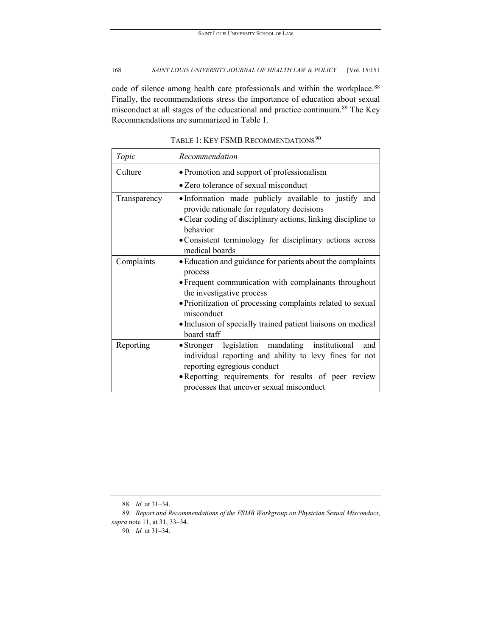code of silence among health care professionals and within the workplace.<sup>[88](#page-18-0)</sup> Finally, the recommendations stress the importance of education about sexual misconduct at all stages of the educational and practice continuum.[89](#page-18-1) The Key Recommendations are summarized in Table 1.

| Topic        | Recommendation                                                                                                                                                                                                                                    |
|--------------|---------------------------------------------------------------------------------------------------------------------------------------------------------------------------------------------------------------------------------------------------|
| Culture      | • Promotion and support of professionalism                                                                                                                                                                                                        |
|              | • Zero tolerance of sexual misconduct                                                                                                                                                                                                             |
| Transparency | •Information made publicly available to justify and<br>provide rationale for regulatory decisions<br>• Clear coding of disciplinary actions, linking discipline to<br>behavior                                                                    |
|              | • Consistent terminology for disciplinary actions across<br>medical boards                                                                                                                                                                        |
| Complaints   | • Education and guidance for patients about the complaints<br>process<br>• Frequent communication with complainants throughout<br>the investigative process                                                                                       |
|              | • Prioritization of processing complaints related to sexual<br>misconduct<br>• Inclusion of specially trained patient liaisons on medical<br>board staff                                                                                          |
| Reporting    | • Stronger legislation mandating institutional<br>and<br>individual reporting and ability to levy fines for not<br>reporting egregious conduct<br>• Reporting requirements for results of peer review<br>processes that uncover sexual misconduct |

TABLE 1: KEY FSMB RECOMMENDATIONS<sup>[90](#page-18-2)</sup>

<sup>88</sup>*. Id.* at 31–34.

<span id="page-18-2"></span><span id="page-18-1"></span><span id="page-18-0"></span><sup>89</sup>*. Report and Recommendations of the FSMB Workgroup on Physician Sexual Misconduct*, *supra* note 11, at 31, 33–34.

<sup>90</sup>*. Id.* at 31–34.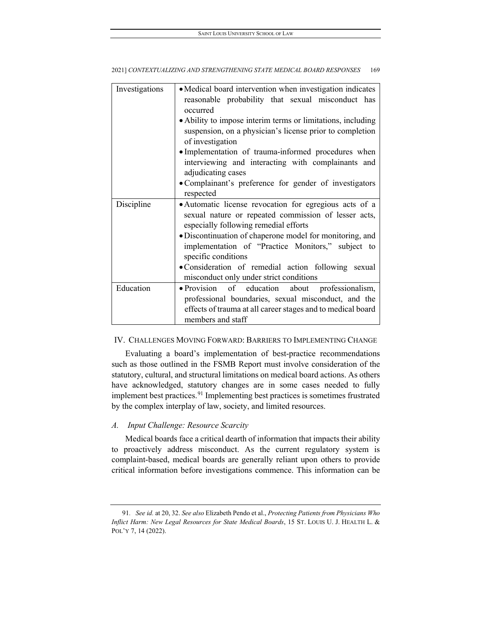| reasonable probability that sexual misconduct has<br>• Ability to impose interim terms or limitations, including<br>suspension, on a physician's license prior to completion |
|------------------------------------------------------------------------------------------------------------------------------------------------------------------------------|
|                                                                                                                                                                              |
|                                                                                                                                                                              |
| • Implementation of trauma-informed procedures when<br>interviewing and interacting with complainants and                                                                    |
| • Complainant's preference for gender of investigators                                                                                                                       |
| · Automatic license revocation for egregious acts of a<br>sexual nature or repeated commission of lesser acts,<br>especially following remedial efforts                      |
| • Discontinuation of chaperone model for monitoring, and<br>implementation of "Practice Monitors," subject to                                                                |
| · Consideration of remedial action following sexual<br>misconduct only under strict conditions                                                                               |
| • Provision of education about professionalism,<br>professional boundaries, sexual misconduct, and the<br>effects of trauma at all career stages and to medical board        |
|                                                                                                                                                                              |

## IV. CHALLENGES MOVING FORWARD: BARRIERS TO IMPLEMENTING CHANGE

Evaluating a board's implementation of best-practice recommendations such as those outlined in the FSMB Report must involve consideration of the statutory, cultural, and structural limitations on medical board actions. As others have acknowledged, statutory changes are in some cases needed to fully implement best practices.<sup>[91](#page-19-0)</sup> Implementing best practices is sometimes frustrated by the complex interplay of law, society, and limited resources.

## *A. Input Challenge: Resource Scarcity*

Medical boards face a critical dearth of information that impacts their ability to proactively address misconduct. As the current regulatory system is complaint-based, medical boards are generally reliant upon others to provide critical information before investigations commence. This information can be

<span id="page-19-0"></span><sup>91</sup>*. See id.* at 20, 32. *See also* Elizabeth Pendo et al., *Protecting Patients from Physicians Who Inflict Harm: New Legal Resources for State Medical Boards*, 15 ST. LOUIS U. J. HEALTH L. & POL'Y 7, 14 (2022).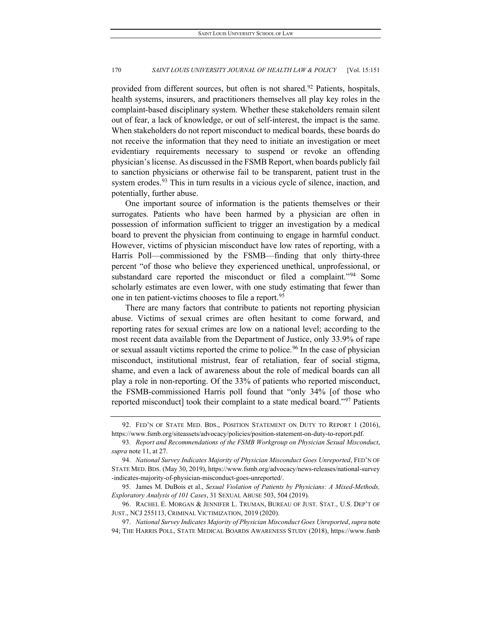provided from different sources, but often is not shared.<sup>[92](#page-20-0)</sup> Patients, hospitals, health systems, insurers, and practitioners themselves all play key roles in the complaint-based disciplinary system. Whether these stakeholders remain silent out of fear, a lack of knowledge, or out of self-interest, the impact is the same. When stakeholders do not report misconduct to medical boards, these boards do not receive the information that they need to initiate an investigation or meet evidentiary requirements necessary to suspend or revoke an offending physician's license. As discussed in the FSMB Report, when boards publicly fail to sanction physicians or otherwise fail to be transparent, patient trust in the system erodes.<sup>[93](#page-20-1)</sup> This in turn results in a vicious cycle of silence, inaction, and potentially, further abuse.

One important source of information is the patients themselves or their surrogates. Patients who have been harmed by a physician are often in possession of information sufficient to trigger an investigation by a medical board to prevent the physician from continuing to engage in harmful conduct. However, victims of physician misconduct have low rates of reporting, with a Harris Poll—commissioned by the FSMB—finding that only thirty-three percent "of those who believe they experienced unethical, unprofessional, or substandard care reported the misconduct or filed a complaint."<sup>[94](#page-20-2)</sup> Some scholarly estimates are even lower, with one study estimating that fewer than one in ten patient-victims chooses to file a report.<sup>[95](#page-20-3)</sup>

There are many factors that contribute to patients not reporting physician abuse. Victims of sexual crimes are often hesitant to come forward, and reporting rates for sexual crimes are low on a national level; according to the most recent data available from the Department of Justice, only 33.9% of rape or sexual assault victims reported the crime to police.<sup>[96](#page-20-4)</sup> In the case of physician misconduct, institutional mistrust, fear of retaliation, fear of social stigma, shame, and even a lack of awareness about the role of medical boards can all play a role in non-reporting. Of the 33% of patients who reported misconduct, the FSMB-commissioned Harris poll found that "only 34% [of those who reported misconduct] took their complaint to a state medical board."[97](#page-20-5) Patients

<span id="page-20-0"></span><sup>92.</sup> FED'N OF STATE MED. BDS., POSITION STATEMENT ON DUTY TO REPORT 1 (2016), https://www.fsmb.org/siteassets/advocacy/policies/position-statement-on-duty-to-report.pdf.

<span id="page-20-1"></span><sup>93</sup>*. Report and Recommendations of the FSMB Workgroup on Physician Sexual Misconduct*, *supra* note 11, at 27.

<span id="page-20-2"></span><sup>94.</sup> *National Survey Indicates Majority of Physician Misconduct Goes Unreported*, FED'N OF STATE MED. BDS. (May 30, 2019), https://www.fsmb.org/advocacy/news-releases/national-survey -indicates-majority-of-physician-misconduct-goes-unreported/.

<span id="page-20-3"></span><sup>95.</sup> James M. DuBois et al., *Sexual Violation of Patients by Physicians: A Mixed-Methods, Exploratory Analysis of 101 Cases*, 31 SEXUAL ABUSE 503, 504 (2019).

<span id="page-20-4"></span><sup>96.</sup> RACHEL E. MORGAN & JENNIFER L. TRUMAN, BUREAU OF JUST. STAT., U.S. DEP'T OF JUST., NCJ 255113, CRIMINAL VICTIMIZATION, 2019 (2020).

<span id="page-20-5"></span><sup>97.</sup> *National Survey Indicates Majority of Physician Misconduct Goes Unreported*, *supra* note 94; THE HARRIS POLL, STATE MEDICAL BOARDS AWARENESS STUDY (2018), https://www.fsmb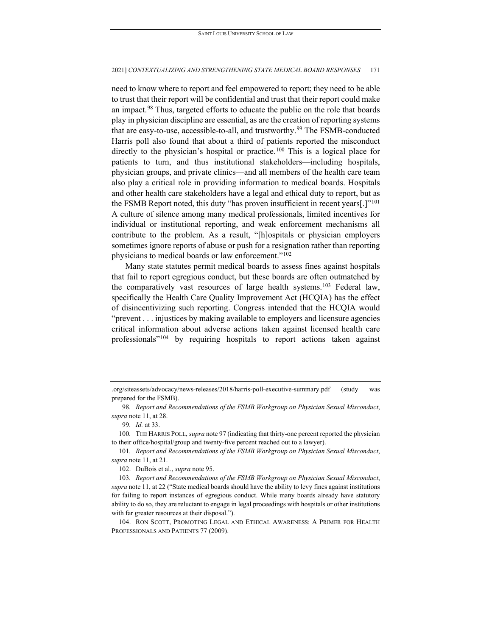need to know where to report and feel empowered to report; they need to be able to trust that their report will be confidential and trust that their report could make an impact.<sup>98</sup> Thus, targeted efforts to educate the public on the role that boards play in physician discipline are essential, as are the creation of reporting systems that are easy-to-use, accessible-to-all, and trustworthy.<sup>[99](#page-21-1)</sup> The FSMB-conducted Harris poll also found that about a third of patients reported the misconduct directly to the physician's hospital or practice.<sup>[100](#page-21-2)</sup> This is a logical place for patients to turn, and thus institutional stakeholders—including hospitals, physician groups, and private clinics—and all members of the health care team also play a critical role in providing information to medical boards. Hospitals and other health care stakeholders have a legal and ethical duty to report, but as the FSMB Report noted, this duty "has proven insufficient in recent years[.]"<sup>101</sup> A culture of silence among many medical professionals, limited incentives for individual or institutional reporting, and weak enforcement mechanisms all contribute to the problem. As a result, "[h]ospitals or physician employers sometimes ignore reports of abuse or push for a resignation rather than reporting physicians to medical boards or law enforcement."<sup>[102](#page-21-4)</sup>

Many state statutes permit medical boards to assess fines against hospitals that fail to report egregious conduct, but these boards are often outmatched by the comparatively vast resources of large health systems.<sup>[103](#page-21-5)</sup> Federal law, specifically the Health Care Quality Improvement Act (HCQIA) has the effect of disincentivizing such reporting. Congress intended that the HCQIA would "prevent . . . injustices by making available to employers and licensure agencies critical information about adverse actions taken against licensed health care professionals"[104](#page-21-6) by requiring hospitals to report actions taken against

<sup>.</sup>org/siteassets/advocacy/news-releases/2018/harris-poll-executive-summary.pdf (study was prepared for the FSMB).

<span id="page-21-0"></span><sup>98</sup>*. Report and Recommendations of the FSMB Workgroup on Physician Sexual Misconduct*, *supra* note 11, at 28.

<sup>99</sup>*. Id.* at 33.

<span id="page-21-2"></span><span id="page-21-1"></span><sup>100</sup>*.* THE HARRIS POLL, *supra* note 97 (indicating that thirty-one percent reported the physician to their office/hospital/group and twenty-five percent reached out to a lawyer).

<span id="page-21-3"></span><sup>101</sup>*. Report and Recommendations of the FSMB Workgroup on Physician Sexual Misconduct*, *supra* note 11, at 21.

<sup>102.</sup> DuBois et al., *supra* note 95.

<span id="page-21-5"></span><span id="page-21-4"></span><sup>103</sup>*. Report and Recommendations of the FSMB Workgroup on Physician Sexual Misconduct*, *supra* note 11, at 22 ("State medical boards should have the ability to levy fines against institutions for failing to report instances of egregious conduct. While many boards already have statutory ability to do so, they are reluctant to engage in legal proceedings with hospitals or other institutions with far greater resources at their disposal.").

<span id="page-21-6"></span><sup>104.</sup> RON SCOTT, PROMOTING LEGAL AND ETHICAL AWARENESS: A PRIMER FOR HEALTH PROFESSIONALS AND PATIENTS 77 (2009).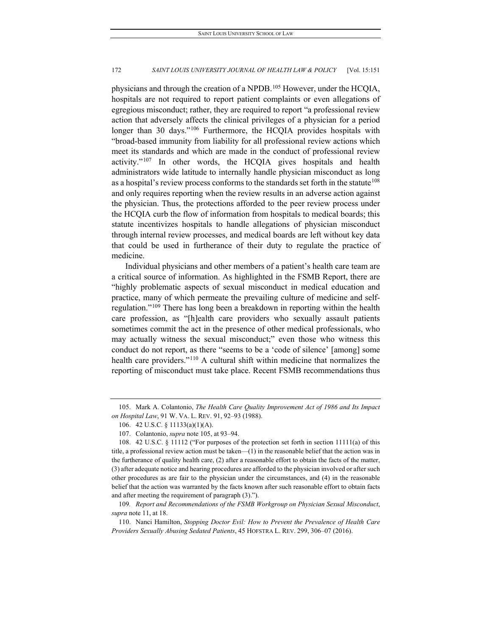physicians and through the creation of a NPDB.[105](#page-22-0) However, under the HCQIA, hospitals are not required to report patient complaints or even allegations of egregious misconduct; rather, they are required to report "a professional review action that adversely affects the clinical privileges of a physician for a period longer than 30 days."<sup>[106](#page-22-1)</sup> Furthermore, the HCQIA provides hospitals with "broad-based immunity from liability for all professional review actions which meet its standards and which are made in the conduct of professional review activity."[107](#page-22-2) In other words, the HCQIA gives hospitals and health administrators wide latitude to internally handle physician misconduct as long as a hospital's review process conforms to the standards set forth in the statute<sup>108</sup> and only requires reporting when the review results in an adverse action against the physician. Thus, the protections afforded to the peer review process under the HCQIA curb the flow of information from hospitals to medical boards; this statute incentivizes hospitals to handle allegations of physician misconduct through internal review processes, and medical boards are left without key data that could be used in furtherance of their duty to regulate the practice of medicine.

Individual physicians and other members of a patient's health care team are a critical source of information. As highlighted in the FSMB Report, there are "highly problematic aspects of sexual misconduct in medical education and practice, many of which permeate the prevailing culture of medicine and selfregulation."[109](#page-22-4) There has long been a breakdown in reporting within the health care profession, as "[h]ealth care providers who sexually assault patients sometimes commit the act in the presence of other medical professionals, who may actually witness the sexual misconduct;" even those who witness this conduct do not report, as there "seems to be a 'code of silence' [among] some health care providers."<sup>[110](#page-22-5)</sup> A cultural shift within medicine that normalizes the reporting of misconduct must take place. Recent FSMB recommendations thus

<span id="page-22-1"></span><span id="page-22-0"></span><sup>105.</sup> Mark A. Colantonio, *The Health Care Quality Improvement Act of 1986 and Its Impact on Hospital Law*, 91 W. VA. L. REV. 91, 92–93 (1988).

<sup>106.</sup> 42 U.S.C. § 11133(a)(1)(A).

<sup>107.</sup> Colantonio, *supra* note 105, at 93–94.

<span id="page-22-3"></span><span id="page-22-2"></span><sup>108.</sup> 42 U.S.C. § 11112 ("For purposes of the protection set forth in section 11111(a) of this title, a professional review action must be taken—(1) in the reasonable belief that the action was in the furtherance of quality health care, (2) after a reasonable effort to obtain the facts of the matter, (3) after adequate notice and hearing procedures are afforded to the physician involved or after such other procedures as are fair to the physician under the circumstances, and (4) in the reasonable belief that the action was warranted by the facts known after such reasonable effort to obtain facts and after meeting the requirement of paragraph (3).").

<span id="page-22-4"></span><sup>109</sup>*. Report and Recommendations of the FSMB Workgroup on Physician Sexual Misconduct*, *supra* note 11, at 18.

<span id="page-22-5"></span><sup>110.</sup> Nanci Hamilton, *Stopping Doctor Evil: How to Prevent the Prevalence of Health Care Providers Sexually Abusing Sedated Patients*, 45 HOFSTRA L. REV. 299, 306–07 (2016).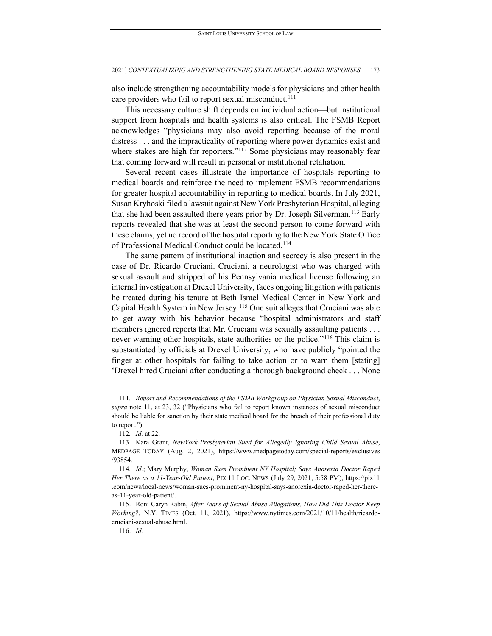also include strengthening accountability models for physicians and other health care providers who fail to report sexual misconduct.<sup>[111](#page-23-0)</sup>

This necessary culture shift depends on individual action—but institutional support from hospitals and health systems is also critical. The FSMB Report acknowledges "physicians may also avoid reporting because of the moral distress . . . and the impracticality of reporting where power dynamics exist and where stakes are high for reporters."<sup>[112](#page-23-1)</sup> Some physicians may reasonably fear that coming forward will result in personal or institutional retaliation.

Several recent cases illustrate the importance of hospitals reporting to medical boards and reinforce the need to implement FSMB recommendations for greater hospital accountability in reporting to medical boards. In July 2021, Susan Kryhoski filed a lawsuit against New York Presbyterian Hospital, alleging that she had been assaulted there years prior by Dr. Joseph Silverman.<sup>[113](#page-23-2)</sup> Early reports revealed that she was at least the second person to come forward with these claims, yet no record of the hospital reporting to the New York State Office of Professional Medical Conduct could be located.[114](#page-23-3)

The same pattern of institutional inaction and secrecy is also present in the case of Dr. Ricardo Cruciani. Cruciani, a neurologist who was charged with sexual assault and stripped of his Pennsylvania medical license following an internal investigation at Drexel University, faces ongoing litigation with patients he treated during his tenure at Beth Israel Medical Center in New York and Capital Health System in New Jersey.[115](#page-23-4) One suit alleges that Cruciani was able to get away with his behavior because "hospital administrators and staff members ignored reports that Mr. Cruciani was sexually assaulting patients . . . never warning other hospitals, state authorities or the police."<sup>[116](#page-23-5)</sup> This claim is substantiated by officials at Drexel University, who have publicly "pointed the finger at other hospitals for failing to take action or to warn them [stating] 'Drexel hired Cruciani after conducting a thorough background check . . . None

<span id="page-23-0"></span><sup>111</sup>*. Report and Recommendations of the FSMB Workgroup on Physician Sexual Misconduct*, *supra* note 11, at 23, 32 ("Physicians who fail to report known instances of sexual misconduct should be liable for sanction by their state medical board for the breach of their professional duty to report.").

<sup>112</sup>*. Id.* at 22.

<span id="page-23-2"></span><span id="page-23-1"></span><sup>113.</sup> Kara Grant, *NewYork-Presbyterian Sued for Allegedly Ignoring Child Sexual Abuse*, MEDPAGE TODAY (Aug. 2, 2021), https://www.medpagetoday.com/special-reports/exclusives /93854.

<span id="page-23-3"></span><sup>114</sup>*. Id.*; Mary Murphy, *Woman Sues Prominent NY Hospital; Says Anorexia Doctor Raped Her There as a 11-Year-Old Patient*, PIX 11 LOC. NEWS (July 29, 2021, 5:58 PM), https://pix11 .com/news/local-news/woman-sues-prominent-ny-hospital-says-anorexia-doctor-raped-her-thereas-11-year-old-patient/.

<span id="page-23-5"></span><span id="page-23-4"></span><sup>115.</sup> Roni Caryn Rabin, *After Years of Sexual Abuse Allegations, How Did This Doctor Keep Working?*, N.Y. TIMES (Oct. 11, 2021), https://www.nytimes.com/2021/10/11/health/ricardocruciani-sexual-abuse.html.

<sup>116.</sup> *Id.*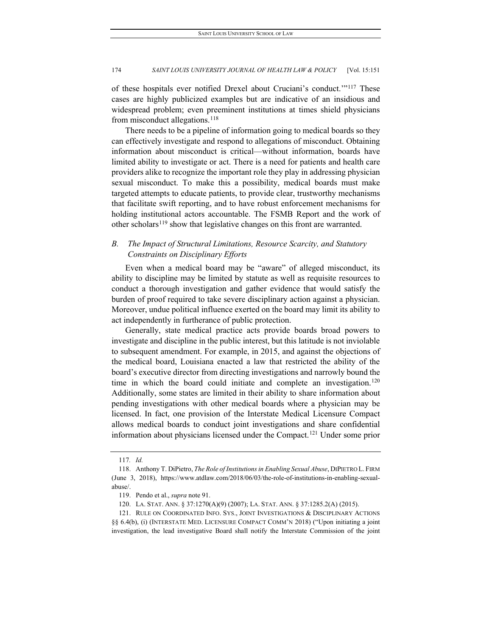of these hospitals ever notified Drexel about Cruciani's conduct.'"[117](#page-24-0) These cases are highly publicized examples but are indicative of an insidious and widespread problem; even preeminent institutions at times shield physicians from misconduct allegations.<sup>[118](#page-24-1)</sup>

There needs to be a pipeline of information going to medical boards so they can effectively investigate and respond to allegations of misconduct. Obtaining information about misconduct is critical—without information, boards have limited ability to investigate or act. There is a need for patients and health care providers alike to recognize the important role they play in addressing physician sexual misconduct. To make this a possibility, medical boards must make targeted attempts to educate patients, to provide clear, trustworthy mechanisms that facilitate swift reporting, and to have robust enforcement mechanisms for holding institutional actors accountable. The FSMB Report and the work of other scholars<sup>[119](#page-24-2)</sup> show that legislative changes on this front are warranted.

## *B. The Impact of Structural Limitations, Resource Scarcity, and Statutory Constraints on Disciplinary Efforts*

Even when a medical board may be "aware" of alleged misconduct, its ability to discipline may be limited by statute as well as requisite resources to conduct a thorough investigation and gather evidence that would satisfy the burden of proof required to take severe disciplinary action against a physician. Moreover, undue political influence exerted on the board may limit its ability to act independently in furtherance of public protection.

Generally, state medical practice acts provide boards broad powers to investigate and discipline in the public interest, but this latitude is not inviolable to subsequent amendment. For example, in 2015, and against the objections of the medical board, Louisiana enacted a law that restricted the ability of the board's executive director from directing investigations and narrowly bound the time in which the board could initiate and complete an investigation.<sup>120</sup> Additionally, some states are limited in their ability to share information about pending investigations with other medical boards where a physician may be licensed. In fact, one provision of the Interstate Medical Licensure Compact allows medical boards to conduct joint investigations and share confidential information about physicians licensed under the Compact.[121](#page-24-4) Under some prior

<span id="page-24-4"></span><span id="page-24-3"></span><span id="page-24-2"></span>121. RULE ON COORDINATED INFO. SYS., JOINT INVESTIGATIONS & DISCIPLINARY ACTIONS §§ 6.4(b), (i) (INTERSTATE MED. LICENSURE COMPACT COMM'N 2018) ("Upon initiating a joint investigation, the lead investigative Board shall notify the Interstate Commission of the joint

<sup>117</sup>*. Id.*

<span id="page-24-1"></span><span id="page-24-0"></span><sup>118.</sup> Anthony T. DiPietro, *The Role of Institutions in Enabling Sexual Abuse*, DIPIETRO L. FIRM (June 3, 2018), https://www.atdlaw.com/2018/06/03/the-role-of-institutions-in-enabling-sexualabuse/.

<sup>119.</sup> Pendo et al., *supra* note 91.

<sup>120.</sup> LA. STAT. ANN. § 37:1270(A)(9) (2007); LA. STAT. ANN. § 37:1285.2(A) (2015).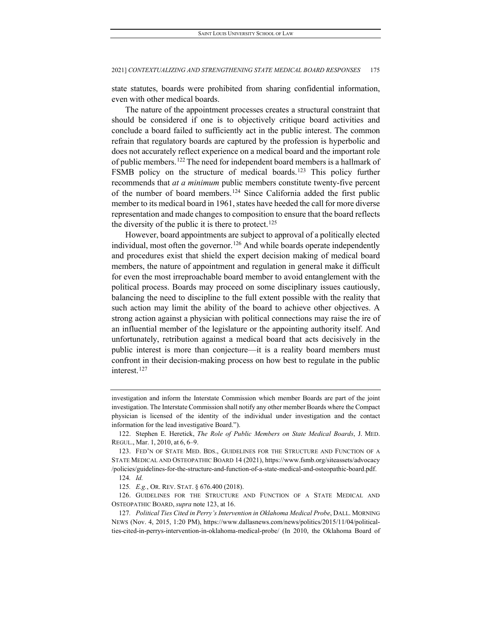state statutes, boards were prohibited from sharing confidential information, even with other medical boards.

The nature of the appointment processes creates a structural constraint that should be considered if one is to objectively critique board activities and conclude a board failed to sufficiently act in the public interest. The common refrain that regulatory boards are captured by the profession is hyperbolic and does not accurately reflect experience on a medical board and the important role of public members.[122](#page-25-0)The need for independent board members is a hallmark of FSMB policy on the structure of medical boards.<sup>[123](#page-25-1)</sup> This policy further recommends that *at a minimum* public members constitute twenty-five percent of the number of board members.<sup>[124](#page-25-2)</sup> Since California added the first public member to its medical board in 1961, states have heeded the call for more diverse representation and made changes to composition to ensure that the board reflects the diversity of the public it is there to protect.<sup>[125](#page-25-3)</sup>

However, board appointments are subject to approval of a politically elected individual, most often the governor.<sup>[126](#page-25-4)</sup> And while boards operate independently and procedures exist that shield the expert decision making of medical board members, the nature of appointment and regulation in general make it difficult for even the most irreproachable board member to avoid entanglement with the political process. Boards may proceed on some disciplinary issues cautiously, balancing the need to discipline to the full extent possible with the reality that such action may limit the ability of the board to achieve other objectives. A strong action against a physician with political connections may raise the ire of an influential member of the legislature or the appointing authority itself. And unfortunately, retribution against a medical board that acts decisively in the public interest is more than conjecture—it is a reality board members must confront in their decision-making process on how best to regulate in the public interest.<sup>[127](#page-25-5)</sup>

investigation and inform the Interstate Commission which member Boards are part of the joint investigation. The Interstate Commission shall notify any other member Boards where the Compact physician is licensed of the identity of the individual under investigation and the contact information for the lead investigative Board.").

<span id="page-25-0"></span><sup>122.</sup> Stephen E. Heretick, *The Role of Public Members on State Medical Boards*, J. MED. REGUL., Mar. 1, 2010, at 6, 6–9.

<span id="page-25-1"></span><sup>123.</sup> FED'N OF STATE MED. BDS., GUIDELINES FOR THE STRUCTURE AND FUNCTION OF A STATE MEDICAL AND OSTEOPATHIC BOARD 14 (2021), https://www.fsmb.org/siteassets/advocacy /policies/guidelines-for-the-structure-and-function-of-a-state-medical-and-osteopathic-board.pdf.

<sup>124</sup>*. Id.*

<sup>125</sup>*. E.g.*, OR. REV. STAT. § 676.400 (2018).

<span id="page-25-4"></span><span id="page-25-3"></span><span id="page-25-2"></span><sup>126.</sup> GUIDELINES FOR THE STRUCTURE AND FUNCTION OF A STATE MEDICAL AND OSTEOPATHIC BOARD, *supra* note 123, at 16.

<span id="page-25-5"></span><sup>127</sup>*. Political Ties Cited in Perry's Intervention in Oklahoma Medical Probe*, DALL. MORNING NEWS (Nov. 4, 2015, 1:20 PM), https://www.dallasnews.com/news/politics/2015/11/04/politicalties-cited-in-perrys-intervention-in-oklahoma-medical-probe/ (In 2010, the Oklahoma Board of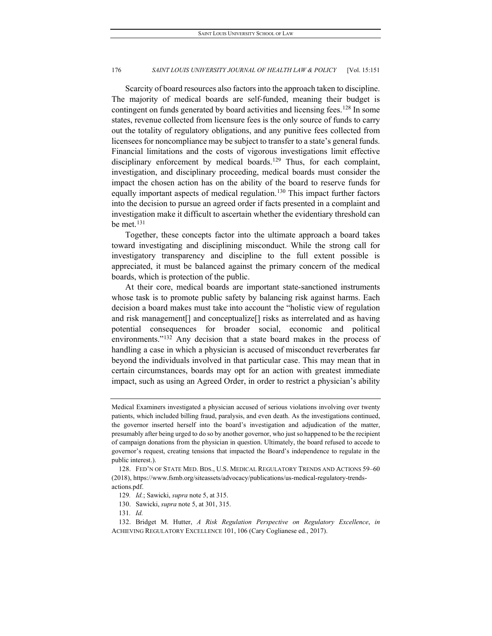Scarcity of board resources also factors into the approach taken to discipline. The majority of medical boards are self-funded, meaning their budget is contingent on funds generated by board activities and licensing fees.<sup>128</sup> In some states, revenue collected from licensure fees is the only source of funds to carry out the totality of regulatory obligations, and any punitive fees collected from licensees for noncompliance may be subject to transfer to a state's general funds. Financial limitations and the costs of vigorous investigations limit effective disciplinary enforcement by medical boards.<sup>129</sup> Thus, for each complaint, investigation, and disciplinary proceeding, medical boards must consider the impact the chosen action has on the ability of the board to reserve funds for equally important aspects of medical regulation.<sup>[130](#page-26-2)</sup> This impact further factors into the decision to pursue an agreed order if facts presented in a complaint and investigation make it difficult to ascertain whether the evidentiary threshold can be met.<sup>[131](#page-26-3)</sup>

Together, these concepts factor into the ultimate approach a board takes toward investigating and disciplining misconduct. While the strong call for investigatory transparency and discipline to the full extent possible is appreciated, it must be balanced against the primary concern of the medical boards, which is protection of the public.

At their core, medical boards are important state-sanctioned instruments whose task is to promote public safety by balancing risk against harms. Each decision a board makes must take into account the "holistic view of regulation and risk management[] and conceptualize[] risks as interrelated and as having potential consequences for broader social, economic and political environments."[132](#page-26-4) Any decision that a state board makes in the process of handling a case in which a physician is accused of misconduct reverberates far beyond the individuals involved in that particular case. This may mean that in certain circumstances, boards may opt for an action with greatest immediate impact, such as using an Agreed Order, in order to restrict a physician's ability

Medical Examiners investigated a physician accused of serious violations involving over twenty patients, which included billing fraud, paralysis, and even death. As the investigations continued, the governor inserted herself into the board's investigation and adjudication of the matter, presumably after being urged to do so by another governor, who just so happened to be the recipient of campaign donations from the physician in question. Ultimately, the board refused to accede to governor's request, creating tensions that impacted the Board's independence to regulate in the public interest.).

<span id="page-26-1"></span><span id="page-26-0"></span><sup>128.</sup> FED'N OF STATE MED. BDS., U.S. MEDICAL REGULATORY TRENDS AND ACTIONS 59–60 (2018), https://www.fsmb.org/siteassets/advocacy/publications/us-medical-regulatory-trendsactions.pdf.

<sup>129</sup>*. Id.*; Sawicki, *supra* note 5, at 315.

<sup>130.</sup> Sawicki, *supra* note 5, at 301, 315.

<sup>131</sup>*. Id.*

<span id="page-26-4"></span><span id="page-26-3"></span><span id="page-26-2"></span><sup>132.</sup> Bridget M. Hutter, *A Risk Regulation Perspective on Regulatory Excellence*, *in* ACHIEVING REGULATORY EXCELLENCE 101, 106 (Cary Coglianese ed., 2017).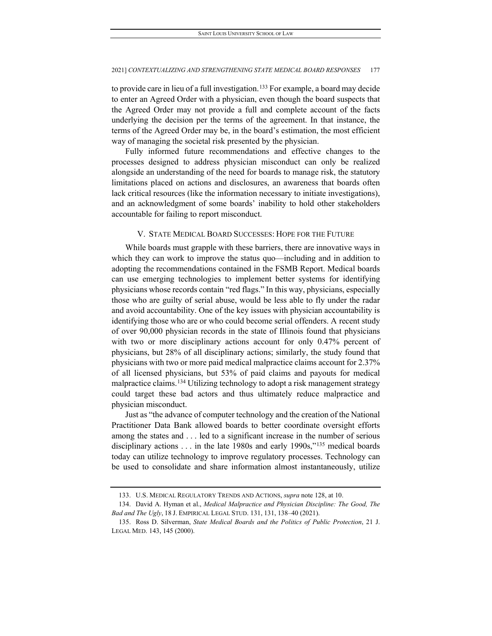to provide care in lieu of a full investigation.<sup>[133](#page-27-0)</sup> For example, a board may decide to enter an Agreed Order with a physician, even though the board suspects that the Agreed Order may not provide a full and complete account of the facts underlying the decision per the terms of the agreement. In that instance, the terms of the Agreed Order may be, in the board's estimation, the most efficient way of managing the societal risk presented by the physician.

Fully informed future recommendations and effective changes to the processes designed to address physician misconduct can only be realized alongside an understanding of the need for boards to manage risk, the statutory limitations placed on actions and disclosures, an awareness that boards often lack critical resources (like the information necessary to initiate investigations), and an acknowledgment of some boards' inability to hold other stakeholders accountable for failing to report misconduct.

## V. STATE MEDICAL BOARD SUCCESSES: HOPE FOR THE FUTURE

While boards must grapple with these barriers, there are innovative ways in which they can work to improve the status quo—including and in addition to adopting the recommendations contained in the FSMB Report. Medical boards can use emerging technologies to implement better systems for identifying physicians whose records contain "red flags." In this way, physicians, especially those who are guilty of serial abuse, would be less able to fly under the radar and avoid accountability. One of the key issues with physician accountability is identifying those who are or who could become serial offenders. A recent study of over 90,000 physician records in the state of Illinois found that physicians with two or more disciplinary actions account for only 0.47% percent of physicians, but 28% of all disciplinary actions; similarly, the study found that physicians with two or more paid medical malpractice claims account for 2.37% of all licensed physicians, but 53% of paid claims and payouts for medical malpractice claims.<sup>[134](#page-27-1)</sup> Utilizing technology to adopt a risk management strategy could target these bad actors and thus ultimately reduce malpractice and physician misconduct.

Just as "the advance of computer technology and the creation of the National Practitioner Data Bank allowed boards to better coordinate oversight efforts among the states and . . . led to a significant increase in the number of serious disciplinary actions . . . in the late 1980s and early 1990s,"[135](#page-27-2) medical boards today can utilize technology to improve regulatory processes. Technology can be used to consolidate and share information almost instantaneously, utilize

<sup>133.</sup> U.S. MEDICAL REGULATORY TRENDS AND ACTIONS, *supra* note 128, at 10.

<span id="page-27-1"></span><span id="page-27-0"></span><sup>134.</sup> David A. Hyman et al., *Medical Malpractice and Physician Discipline: The Good, The Bad and The Ugly*, 18 J. EMPIRICAL LEGAL STUD. 131, 131, 138–40 (2021).

<span id="page-27-2"></span><sup>135.</sup> Ross D. Silverman, *State Medical Boards and the Politics of Public Protection*, 21 J. LEGAL MED. 143, 145 (2000).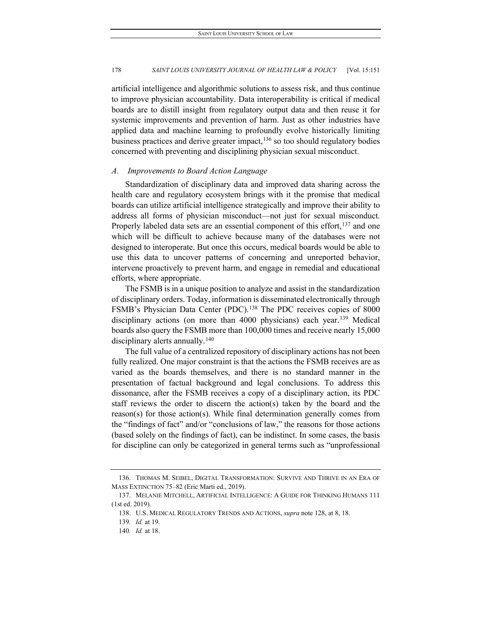artificial intelligence and algorithmic solutions to assess risk, and thus continue to improve physician accountability. Data interoperability is critical if medical boards are to distill insight from regulatory output data and then reuse it for systemic improvements and prevention of harm. Just as other industries have applied data and machine learning to profoundly evolve historically limiting business practices and derive greater impact, $136$  so too should regulatory bodies concerned with preventing and disciplining physician sexual misconduct.

## *A. Improvements to Board Action Language*

Standardization of disciplinary data and improved data sharing across the health care and regulatory ecosystem brings with it the promise that medical boards can utilize artificial intelligence strategically and improve their ability to address all forms of physician misconduct—not just for sexual misconduct. Properly labeled data sets are an essential component of this effort,  $137$  and one which will be difficult to achieve because many of the databases were not designed to interoperate. But once this occurs, medical boards would be able to use this data to uncover patterns of concerning and unreported behavior, intervene proactively to prevent harm, and engage in remedial and educational efforts, where appropriate.

The FSMB is in a unique position to analyze and assist in the standardization of disciplinary orders. Today, information is disseminated electronically through FSMB's Physician Data Center (PDC).<sup>[138](#page-28-2)</sup> The PDC receives copies of 8000 disciplinary actions (on more than 4000 physicians) each year.<sup>[139](#page-28-3)</sup> Medical boards also query the FSMB more than 100,000 times and receive nearly 15,000 disciplinary alerts annually.<sup>[140](#page-28-4)</sup>

The full value of a centralized repository of disciplinary actions has not been fully realized. One major constraint is that the actions the FSMB receives are as varied as the boards themselves, and there is no standard manner in the presentation of factual background and legal conclusions. To address this dissonance, after the FSMB receives a copy of a disciplinary action, its PDC staff reviews the order to discern the action(s) taken by the board and the reason(s) for those action(s). While final determination generally comes from the "findings of fact" and/or "conclusions of law," the reasons for those actions (based solely on the findings of fact), can be indistinct. In some cases, the basis for discipline can only be categorized in general terms such as "unprofessional

<span id="page-28-0"></span><sup>136.</sup> THOMAS M. SEIBEL, DIGITAL TRANSFORMATION: SURVIVE AND THRIVE IN AN ERA OF MASS EXTINCTION 75–82 (Eric Marti ed., 2019).

<span id="page-28-4"></span><span id="page-28-3"></span><span id="page-28-2"></span><span id="page-28-1"></span><sup>137.</sup> MELANIE MITCHELL, ARTIFICIAL INTELLIGENCE: A GUIDE FOR THINKING HUMANS 111 (1st ed. 2019).

<sup>138.</sup> U.S. MEDICAL REGULATORY TRENDS AND ACTIONS, *supra* note 128, at 8, 18.

<sup>139</sup>*. Id.* at 19.

<sup>140</sup>*. Id.* at 18.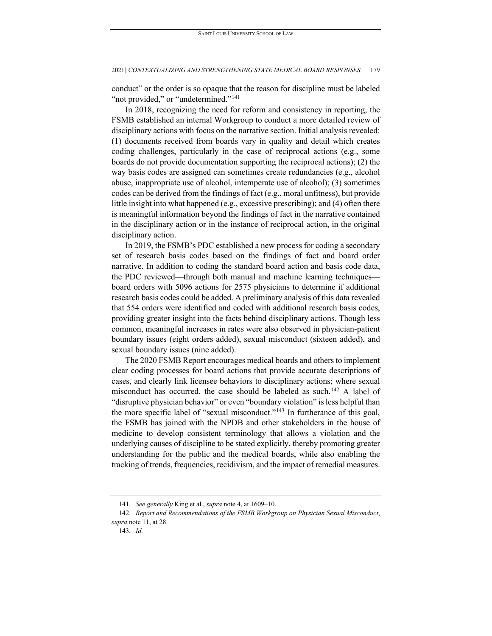conduct" or the order is so opaque that the reason for discipline must be labeled "not provided," or "undetermined."<sup>141</sup>

In 2018, recognizing the need for reform and consistency in reporting, the FSMB established an internal Workgroup to conduct a more detailed review of disciplinary actions with focus on the narrative section. Initial analysis revealed: (1) documents received from boards vary in quality and detail which creates coding challenges, particularly in the case of reciprocal actions (e.g., some boards do not provide documentation supporting the reciprocal actions); (2) the way basis codes are assigned can sometimes create redundancies (e.g., alcohol abuse, inappropriate use of alcohol, intemperate use of alcohol); (3) sometimes codes can be derived from the findings of fact (e.g., moral unfitness), but provide little insight into what happened (e.g., excessive prescribing); and (4) often there is meaningful information beyond the findings of fact in the narrative contained in the disciplinary action or in the instance of reciprocal action, in the original disciplinary action.

In 2019, the FSMB's PDC established a new process for coding a secondary set of research basis codes based on the findings of fact and board order narrative. In addition to coding the standard board action and basis code data, the PDC reviewed—through both manual and machine learning techniques board orders with 5096 actions for 2575 physicians to determine if additional research basis codes could be added. A preliminary analysis of this data revealed that 554 orders were identified and coded with additional research basis codes, providing greater insight into the facts behind disciplinary actions. Though less common, meaningful increases in rates were also observed in physician-patient boundary issues (eight orders added), sexual misconduct (sixteen added), and sexual boundary issues (nine added).

The 2020 FSMB Report encourages medical boards and others to implement clear coding processes for board actions that provide accurate descriptions of cases, and clearly link licensee behaviors to disciplinary actions; where sexual misconduct has occurred, the case should be labeled as such.<sup>[142](#page-29-1)</sup> A label of "disruptive physician behavior" or even "boundary violation" is less helpful than the more specific label of "sexual misconduct."[143](#page-29-2) In furtherance of this goal, the FSMB has joined with the NPDB and other stakeholders in the house of medicine to develop consistent terminology that allows a violation and the underlying causes of discipline to be stated explicitly, thereby promoting greater understanding for the public and the medical boards, while also enabling the tracking of trends, frequencies, recidivism, and the impact of remedial measures.

<sup>141</sup>*. See generally* King et al., *supra* note 4, at 1609–10.

<span id="page-29-2"></span><span id="page-29-1"></span><span id="page-29-0"></span><sup>142</sup>*. Report and Recommendations of the FSMB Workgroup on Physician Sexual Misconduct*, *supra* note 11, at 28.

<sup>143</sup>*. Id.*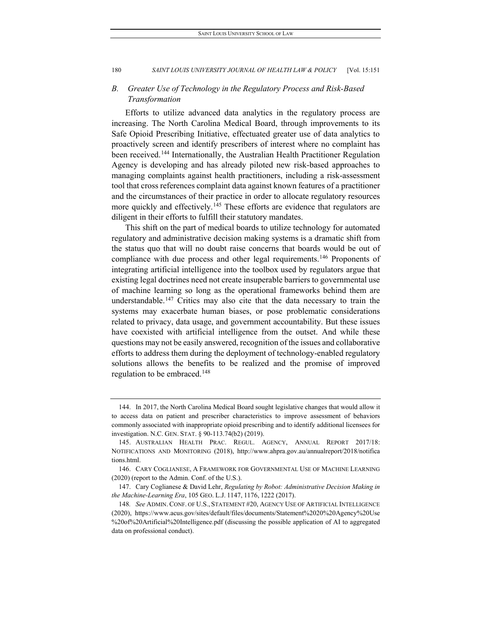## *B. Greater Use of Technology in the Regulatory Process and Risk-Based Transformation*

Efforts to utilize advanced data analytics in the regulatory process are increasing. The North Carolina Medical Board, through improvements to its Safe Opioid Prescribing Initiative, effectuated greater use of data analytics to proactively screen and identify prescribers of interest where no complaint has been received.<sup>[144](#page-30-0)</sup> Internationally, the Australian Health Practitioner Regulation Agency is developing and has already piloted new risk-based approaches to managing complaints against health practitioners, including a risk-assessment tool that cross references complaint data against known features of a practitioner and the circumstances of their practice in order to allocate regulatory resources more quickly and effectively.<sup>[145](#page-30-1)</sup> These efforts are evidence that regulators are diligent in their efforts to fulfill their statutory mandates.

This shift on the part of medical boards to utilize technology for automated regulatory and administrative decision making systems is a dramatic shift from the status quo that will no doubt raise concerns that boards would be out of compliance with due process and other legal requirements.<sup>[146](#page-30-2)</sup> Proponents of integrating artificial intelligence into the toolbox used by regulators argue that existing legal doctrines need not create insuperable barriers to governmental use of machine learning so long as the operational frameworks behind them are understandable.[147](#page-30-3) Critics may also cite that the data necessary to train the systems may exacerbate human biases, or pose problematic considerations related to privacy, data usage, and government accountability. But these issues have coexisted with artificial intelligence from the outset. And while these questions may not be easily answered, recognition of the issues and collaborative efforts to address them during the deployment of technology-enabled regulatory solutions allows the benefits to be realized and the promise of improved regulation to be embraced.<sup>148</sup>

<span id="page-30-0"></span><sup>144.</sup> In 2017, the North Carolina Medical Board sought legislative changes that would allow it to access data on patient and prescriber characteristics to improve assessment of behaviors commonly associated with inappropriate opioid prescribing and to identify additional licensees for investigation. N.C. GEN. STAT. § 90-113.74(b2) (2019).

<span id="page-30-1"></span><sup>145.</sup> AUSTRALIAN HEALTH PRAC. REGUL. AGENCY, ANNUAL REPORT 2017/18: NOTIFICATIONS AND MONITORING (2018), http://www.ahpra.gov.au/annualreport/2018/notifica tions.html.

<span id="page-30-2"></span><sup>146.</sup> CARY COGLIANESE, A FRAMEWORK FOR GOVERNMENTAL USE OF MACHINE LEARNING (2020) (report to the Admin. Conf. of the U.S.).

<span id="page-30-3"></span><sup>147.</sup> Cary Coglianese & David Lehr, *Regulating by Robot: Administrative Decision Making in the Machine-Learning Era*, 105 GEO. L.J. 1147, 1176, 1222 (2017).

<span id="page-30-4"></span><sup>148</sup>*. See* ADMIN. CONF. OF U.S., STATEMENT #20, AGENCY USE OF ARTIFICIAL INTELLIGENCE (2020), https://www.acus.gov/sites/default/files/documents/Statement%2020%20Agency%20Use %20of%20Artificial%20Intelligence.pdf (discussing the possible application of AI to aggregated data on professional conduct).